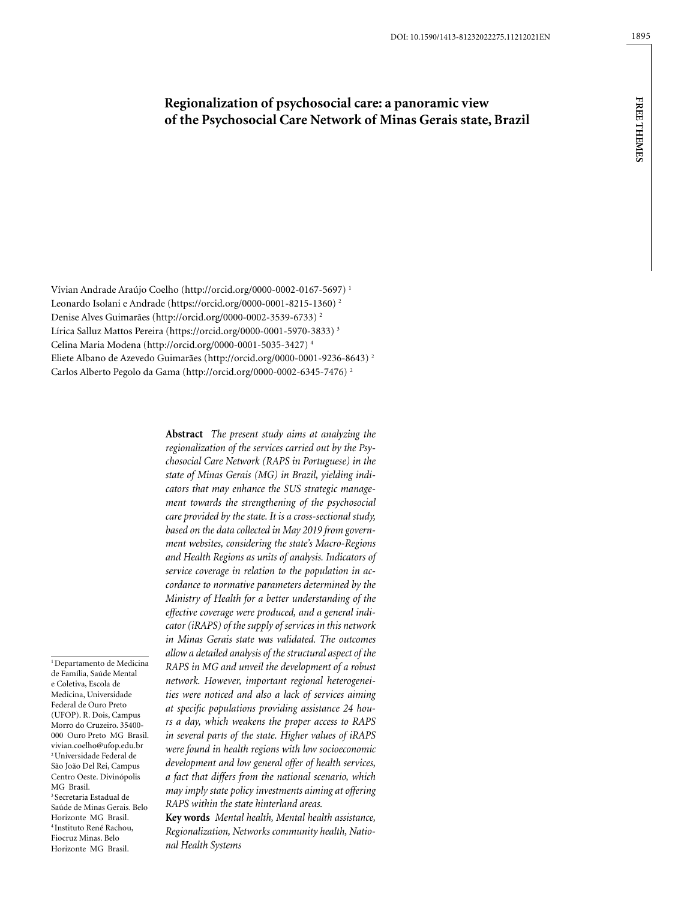# **Regionalization of psychosocial care: a panoramic view of the Psychosocial Care Network of Minas Gerais state, Brazil**

Vívian Andrade Araújo Coelho (http://orcid.org/0000-0002-0167-5697) 1 Leonardo Isolani e Andrade (https://orcid.org/0000-0001-8215-1360) 2 Denise Alves Guimarães (http://orcid.org/0000-0002-3539-6733) 2 Lírica Salluz Mattos Pereira (https://orcid.org/0000-0001-5970-3833) 3 Celina Maria Modena (http://orcid.org/0000-0001-5035-3427) 4 Eliete Albano de Azevedo Guimarães (http://orcid.org/0000-0001-9236-8643) 2 Carlos Alberto Pegolo da Gama (http://orcid.org/0000-0002-6345-7476) 2

<sup>1</sup> Departamento de Medicina de Família, Saúde Mental e Coletiva, Escola de Medicina, Universidade Federal de Ouro Preto (UFOP). R. Dois, Campus Morro do Cruzeiro. 35400- 000 Ouro Preto MG Brasil. vivian.coelho@ufop.edu.br 2 Universidade Federal de São João Del Rei, Campus Centro Oeste. Divinópolis MG Brasil. 3 Secretaria Estadual de Saúde de Minas Gerais. Belo Horizonte MG Brasil. 4 Instituto René Rachou, Fiocruz Minas. Belo Horizonte MG Brasil.

**Abstract** *The present study aims at analyzing the regionalization of the services carried out by the Psychosocial Care Network (RAPS in Portuguese) in the state of Minas Gerais (MG) in Brazil, yielding indicators that may enhance the SUS strategic management towards the strengthening of the psychosocial care provided by the state. It is a cross-sectional study, based on the data collected in May 2019 from government websites, considering the state's Macro-Regions and Health Regions as units of analysis. Indicators of service coverage in relation to the population in accordance to normative parameters determined by the Ministry of Health for a better understanding of the effective coverage were produced, and a general indicator (iRAPS) of the supply of services in this network in Minas Gerais state was validated. The outcomes allow a detailed analysis of the structural aspect of the RAPS in MG and unveil the development of a robust network. However, important regional heterogeneities were noticed and also a lack of services aiming at specific populations providing assistance 24 hours a day, which weakens the proper access to RAPS in several parts of the state. Higher values of iRAPS were found in health regions with low socioeconomic development and low general offer of health services, a fact that differs from the national scenario, which may imply state policy investments aiming at offering RAPS within the state hinterland areas.*

**Key words** *Mental health, Mental health assistance, Regionalization, Networks community health, National Health Systems*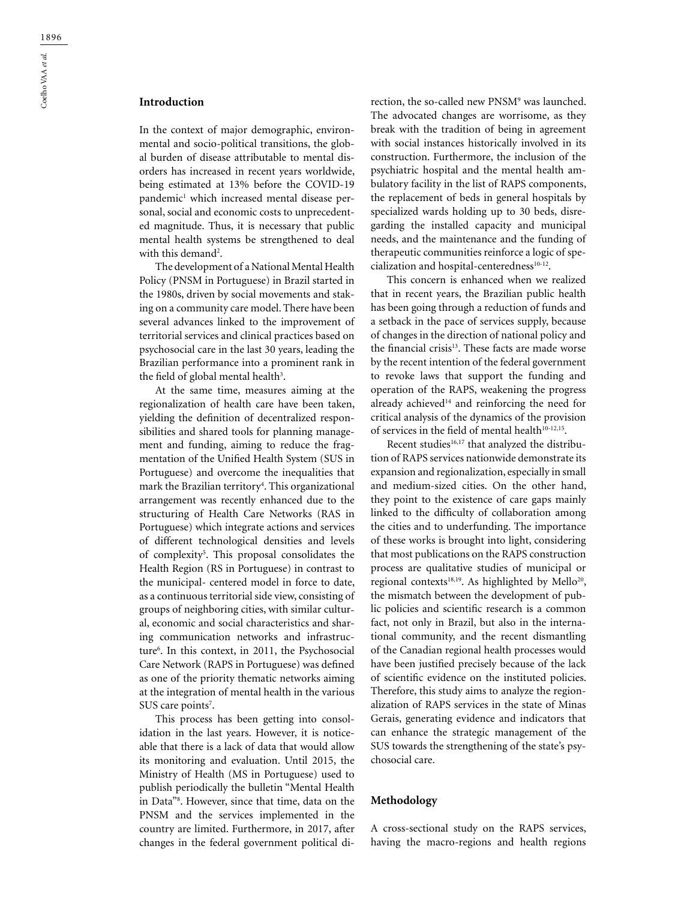## **Introduction**

In the context of major demographic, environmental and socio-political transitions, the global burden of disease attributable to mental disorders has increased in recent years worldwide, being estimated at 13% before the COVID-19 pandemic<sup>1</sup> which increased mental disease personal, social and economic costs to unprecedented magnitude. Thus, it is necessary that public mental health systems be strengthened to deal with this demand<sup>2</sup>.

The development of a National Mental Health Policy (PNSM in Portuguese) in Brazil started in the 1980s, driven by social movements and staking on a community care model. There have been several advances linked to the improvement of territorial services and clinical practices based on psychosocial care in the last 30 years, leading the Brazilian performance into a prominent rank in the field of global mental health $^3$ .

At the same time, measures aiming at the regionalization of health care have been taken, yielding the definition of decentralized responsibilities and shared tools for planning management and funding, aiming to reduce the fragmentation of the Unified Health System (SUS in Portuguese) and overcome the inequalities that mark the Brazilian territory4 . This organizational arrangement was recently enhanced due to the structuring of Health Care Networks (RAS in Portuguese) which integrate actions and services of different technological densities and levels of complexity<sup>5</sup>. This proposal consolidates the Health Region (RS in Portuguese) in contrast to the municipal- centered model in force to date, as a continuous territorial side view, consisting of groups of neighboring cities, with similar cultural, economic and social characteristics and sharing communication networks and infrastructure6 . In this context, in 2011, the Psychosocial Care Network (RAPS in Portuguese) was defined as one of the priority thematic networks aiming at the integration of mental health in the various SUS care points<sup>7</sup>.

This process has been getting into consolidation in the last years. However, it is noticeable that there is a lack of data that would allow its monitoring and evaluation. Until 2015, the Ministry of Health (MS in Portuguese) used to publish periodically the bulletin "Mental Health in Data"8 . However, since that time, data on the PNSM and the services implemented in the country are limited. Furthermore, in 2017, after changes in the federal government political di-

rection, the so-called new PNSM<sup>9</sup> was launched. The advocated changes are worrisome, as they break with the tradition of being in agreement with social instances historically involved in its construction. Furthermore, the inclusion of the psychiatric hospital and the mental health ambulatory facility in the list of RAPS components, the replacement of beds in general hospitals by specialized wards holding up to 30 beds, disregarding the installed capacity and municipal needs, and the maintenance and the funding of therapeutic communities reinforce a logic of specialization and hospital-centeredness $10-12$ .

This concern is enhanced when we realized that in recent years, the Brazilian public health has been going through a reduction of funds and a setback in the pace of services supply, because of changes in the direction of national policy and the financial crisis<sup>13</sup>. These facts are made worse by the recent intention of the federal government to revoke laws that support the funding and operation of the RAPS, weakening the progress already achieved<sup>14</sup> and reinforcing the need for critical analysis of the dynamics of the provision of services in the field of mental health<sup>10-12,15</sup>.

Recent studies<sup>16,17</sup> that analyzed the distribution of RAPS services nationwide demonstrate its expansion and regionalization, especially in small and medium-sized cities. On the other hand, they point to the existence of care gaps mainly linked to the difficulty of collaboration among the cities and to underfunding. The importance of these works is brought into light, considering that most publications on the RAPS construction process are qualitative studies of municipal or regional contexts<sup>18,19</sup>. As highlighted by Mello<sup>20</sup>, the mismatch between the development of public policies and scientific research is a common fact, not only in Brazil, but also in the international community, and the recent dismantling of the Canadian regional health processes would have been justified precisely because of the lack of scientific evidence on the instituted policies. Therefore, this study aims to analyze the regionalization of RAPS services in the state of Minas Gerais, generating evidence and indicators that can enhance the strategic management of the SUS towards the strengthening of the state's psychosocial care.

#### **Methodology**

A cross-sectional study on the RAPS services, having the macro-regions and health regions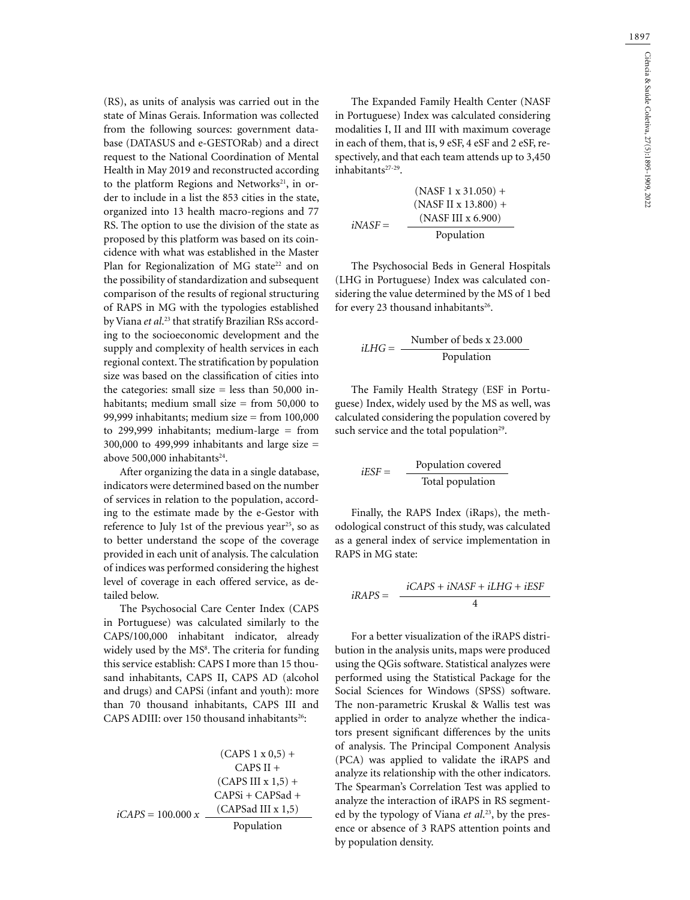(RS), as units of analysis was carried out in the state of Minas Gerais. Information was collected from the following sources: government database (DATASUS and e-GESTORab) and a direct request to the National Coordination of Mental Health in May 2019 and reconstructed according to the platform Regions and Networks<sup>21</sup>, in order to include in a list the 853 cities in the state, organized into 13 health macro-regions and 77 RS. The option to use the division of the state as proposed by this platform was based on its coincidence with what was established in the Master Plan for Regionalization of MG state<sup>22</sup> and on the possibility of standardization and subsequent comparison of the results of regional structuring of RAPS in MG with the typologies established by Viana *et al*. 23 that stratify Brazilian RSs according to the socioeconomic development and the supply and complexity of health services in each regional context. The stratification by population size was based on the classification of cities into the categories: small size  $=$  less than 50,000 inhabitants; medium small size  $=$  from 50,000 to 99,999 inhabitants; medium size = from  $100,000$ to 299,999 inhabitants; medium-large = from 300,000 to 499,999 inhabitants and large size = above 500,000 inhabitants<sup>24</sup>.

After organizing the data in a single database, indicators were determined based on the number of services in relation to the population, according to the estimate made by the e-Gestor with reference to July 1st of the previous year<sup>25</sup>, so as to better understand the scope of the coverage provided in each unit of analysis. The calculation of indices was performed considering the highest level of coverage in each offered service, as detailed below.

The Psychosocial Care Center Index (CAPS in Portuguese) was calculated similarly to the CAPS/100,000 inhabitant indicator, already widely used by the MS<sup>8</sup>. The criteria for funding this service establish: CAPS I more than 15 thousand inhabitants, CAPS II, CAPS AD (alcohol and drugs) and CAPSi (infant and youth): more than 70 thousand inhabitants, CAPS III and CAPS ADIII: over 150 thousand inhabitants<sup>26</sup>:

(CAPS 1 x 0,5) +  
\nCAPS II +  
\n(CAPS III x 1,5) +  
\nCAPS + CAPSad +  
\n
$$
iCAPS = 100.000 x
$$
  
\n
$$
\underline{CAPSad III x 1,5}
$$
\nPopulation

The Expanded Family Health Center (NASF in Portuguese) Index was calculated considering modalities I, II and III with maximum coverage in each of them, that is, 9 eSF, 4 eSF and 2 eSF, respectively, and that each team attends up to 3,450 inhabitants<sup>27-29</sup>.

$$
(NASF 1 x 31.050) +
$$
  
\n
$$
(NASF II x 13.800) +
$$
  
\n
$$
iNASF =
$$
  
\n
$$
NASF III x 6.900
$$
  
\nPopulation

The Psychosocial Beds in General Hospitals (LHG in Portuguese) Index was calculated considering the value determined by the MS of 1 bed for every 23 thousand inhabitants<sup>26</sup>.

$$
iLHG = \frac{\text{Number of beds x 23.000}}{\text{Population}}
$$

The Family Health Strategy (ESF in Portuguese) Index, widely used by the MS as well, was calculated considering the population covered by such service and the total population<sup>29</sup>.

$$
iESF = \frac{Population covered}{Total population}
$$

Finally, the RAPS Index (iRaps), the methodological construct of this study, was calculated as a general index of service implementation in RAPS in MG state:

$$
iRAPS = \frac{iCAPS + iNASF + iLHG + iESF}{4}
$$

For a better visualization of the iRAPS distribution in the analysis units, maps were produced using the QGis software. Statistical analyzes were performed using the Statistical Package for the Social Sciences for Windows (SPSS) software. The non-parametric Kruskal & Wallis test was applied in order to analyze whether the indicators present significant differences by the units of analysis. The Principal Component Analysis (PCA) was applied to validate the iRAPS and analyze its relationship with the other indicators. The Spearman's Correlation Test was applied to analyze the interaction of iRAPS in RS segmented by the typology of Viana *et al*. 23, by the presence or absence of 3 RAPS attention points and by population density.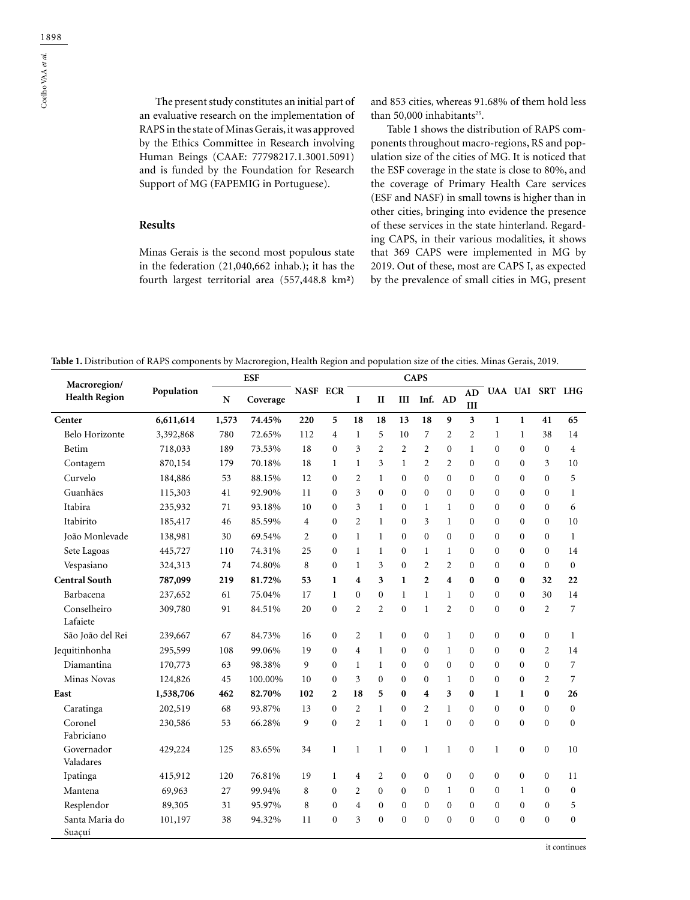The present study constitutes an initial part of an evaluative research on the implementation of RAPS in the state of Minas Gerais, it was approved by the Ethics Committee in Research involving Human Beings (CAAE: 77798217.1.3001.5091) and is funded by the Foundation for Research Support of MG (FAPEMIG in Portuguese).

#### **Results**

Minas Gerais is the second most populous state in the federation (21,040,662 inhab.); it has the fourth largest territorial area (557,448.8 km**²**)

and 853 cities, whereas 91.68% of them hold less than 50,000 inhabitants<sup>25</sup>.

Table 1 shows the distribution of RAPS components throughout macro-regions, RS and population size of the cities of MG. It is noticed that the ESF coverage in the state is close to 80%, and the coverage of Primary Health Care services (ESF and NASF) in small towns is higher than in other cities, bringing into evidence the presence of these services in the state hinterland. Regarding CAPS, in their various modalities, it shows that 369 CAPS were implemented in MG by 2019. Out of these, most are CAPS I, as expected by the prevalence of small cities in MG, present

**Table 1.** Distribution of RAPS components by Macroregion, Health Region and population size of the cities. Minas Gerais, 2019.

|                                      |            | <b>ESF</b> |          |          |                  |                |                  |                | <b>CAPS</b>      |                         |                         |                  |                  |                 |                  |
|--------------------------------------|------------|------------|----------|----------|------------------|----------------|------------------|----------------|------------------|-------------------------|-------------------------|------------------|------------------|-----------------|------------------|
| Macroregion/<br><b>Health Region</b> | Population | N          | Coverage | NASF ECR |                  | I              | $\mathbf{I}$     | III            | Inf.             | AD                      | <b>AD</b><br>III        |                  |                  | UAA UAI SRT LHG |                  |
| Center                               | 6,611,614  | 1,573      | 74.45%   | 220      | 5                | 18             | 18               | 13             | 18               | 9                       | $\overline{\mathbf{3}}$ | $\mathbf{1}$     | $\mathbf{1}$     | 41              | 65               |
| Belo Horizonte                       | 3,392,868  | 780        | 72.65%   | 112      | $\overline{4}$   | $\mathbf{1}$   | 5                | 10             | $\overline{7}$   | $\overline{2}$          | $\overline{2}$          | $\mathbf{1}$     | $\mathbf{1}$     | 38              | 14               |
| Betim                                | 718,033    | 189        | 73.53%   | 18       | $\mathbf{0}$     | 3              | $\overline{2}$   | $\overline{2}$ | $\overline{2}$   | $\overline{0}$          | $\mathbf{1}$            | $\mathbf{0}$     | $\overline{0}$   | $\mathbf{0}$    | $\overline{4}$   |
| Contagem                             | 870,154    | 179        | 70.18%   | 18       | $\mathbf{1}$     | $\mathbf{1}$   | 3                | $\mathbf{1}$   | $\overline{2}$   | 2                       | $\Omega$                | $\mathbf{0}$     | $\overline{0}$   | 3               | 10               |
| Curvelo                              | 184,886    | 53         | 88.15%   | 12       | $\mathbf{0}$     | 2              | $\mathbf{1}$     | $\Omega$       | $\Omega$         | $\overline{0}$          | $\Omega$                | $\Omega$         | $\overline{0}$   | $\theta$        | 5                |
| Guanhães                             | 115,303    | 41         | 92.90%   | 11       | $\mathbf{0}$     | 3              | $\mathbf{0}$     | $\Omega$       | $\mathbf{0}$     | $\overline{0}$          | $\Omega$                | $\mathbf{0}$     | $\overline{0}$   | $\mathbf{0}$    | $\mathbf{1}$     |
| Itabira                              | 235,932    | 71         | 93.18%   | 10       | $\mathbf{0}$     | 3              | $\mathbf{1}$     | $\mathbf{0}$   | $\mathbf{1}$     | $\mathbf{1}$            | $\Omega$                | $\mathbf{0}$     | $\overline{0}$   | $\mathbf{0}$    | 6                |
| Itabirito                            | 185,417    | 46         | 85.59%   | 4        | $\mathbf{0}$     | $\overline{2}$ | $\mathbf{1}$     | $\Omega$       | 3                | $\mathbf{1}$            | $\Omega$                | $\mathbf{0}$     | $\mathbf{0}$     | $\Omega$        | 10               |
| João Monlevade                       | 138,981    | 30         | 69.54%   | 2        | $\mathbf{0}$     | $\mathbf{1}$   | 1                | $\Omega$       | $\mathbf{0}$     | $\overline{0}$          | $\Omega$                | $\Omega$         | $\mathbf{0}$     | $\Omega$        | $\mathbf{1}$     |
| Sete Lagoas                          | 445,727    | 110        | 74.31%   | 25       | $\mathbf{0}$     | $\mathbf{1}$   | $\mathbf{1}$     | $\mathbf{0}$   | $\mathbf{1}$     | $\mathbf{1}$            | $\theta$                | $\mathbf{0}$     | $\mathbf{0}$     | $\mathbf{0}$    | 14               |
| Vespasiano                           | 324,313    | 74         | 74.80%   | 8        | $\mathbf{0}$     | $\mathbf{1}$   | 3                | $\theta$       | $\overline{2}$   | 2                       | $\theta$                | $\mathbf{0}$     | $\mathbf{0}$     | $\mathbf{0}$    | $\boldsymbol{0}$ |
| <b>Central South</b>                 | 787,099    | 219        | 81.72%   | 53       | $\mathbf{1}$     | 4              | 3                | $\mathbf{1}$   | $\overline{2}$   | $\overline{\mathbf{4}}$ | $\bf{0}$                | $\bf{0}$         | $\bf{0}$         | 32              | 22               |
| Barbacena                            | 237,652    | 61         | 75.04%   | 17       | $\mathbf{1}$     | $\theta$       | $\mathbf{0}$     | $\mathbf{1}$   | $\mathbf{1}$     | $\mathbf{1}$            | $\theta$                | $\mathbf{0}$     | $\theta$         | 30              | 14               |
| Conselheiro                          | 309,780    | 91         | 84.51%   | 20       | $\boldsymbol{0}$ | $\overline{c}$ | $\mathfrak{2}$   | $\mathbf{0}$   | $\mathbf{1}$     | $\mathfrak{2}$          | $\overline{0}$          | $\boldsymbol{0}$ | $\boldsymbol{0}$ | $\overline{2}$  | 7                |
| Lafaiete                             |            |            |          |          |                  |                |                  |                |                  |                         |                         |                  |                  |                 |                  |
| São João del Rei                     | 239,667    | 67         | 84.73%   | 16       | 0                | 2              | $\mathbf{1}$     | $\mathbf{0}$   | $\boldsymbol{0}$ | $\mathbf{1}$            | $\mathbf{0}$            | $\boldsymbol{0}$ | $\boldsymbol{0}$ | $\mathbf{0}$    | $\mathbf{1}$     |
| Jequitinhonha                        | 295,599    | 108        | 99.06%   | 19       | $\mathbf{0}$     | $\overline{4}$ | $\mathbf{1}$     | $\mathbf{0}$   | $\mathbf{0}$     | $\mathbf{1}$            | $\mathbf{0}$            | $\mathbf{0}$     | $\mathbf{0}$     | $\overline{2}$  | 14               |
| Diamantina                           | 170,773    | 63         | 98.38%   | 9        | $\mathbf{0}$     | $\mathbf{1}$   | $\mathbf{1}$     | $\mathbf{0}$   | $\mathbf{0}$     | $\mathbf{0}$            | $\Omega$                | $\mathbf{0}$     | $\overline{0}$   | $\overline{0}$  | 7                |
| Minas Novas                          | 124,826    | 45         | 100.00%  | 10       | $\mathbf{0}$     | 3              | $\mathbf{0}$     | $\theta$       | $\theta$         | $\mathbf{1}$            | $\theta$                | $\theta$         | $\mathbf{0}$     | $\overline{2}$  | $\overline{7}$   |
| East                                 | 1,538,706  | 462        | 82.70%   | 102      | $\mathbf{2}$     | 18             | 5                | $\bf{0}$       | 4                | 3                       | $\bf{0}$                | 1                | $\mathbf{1}$     | $\bf{0}$        | 26               |
| Caratinga                            | 202,519    | 68         | 93.87%   | 13       | $\Omega$         | $\overline{c}$ | $\mathbf{1}$     | $\Omega$       | $\overline{c}$   | $\mathbf{1}$            | $\Omega$                | $\theta$         | $\Omega$         | $\theta$        | $\overline{0}$   |
| Coronel                              | 230,586    | 53         | 66.28%   | 9        | $\mathbf{0}$     | $\overline{2}$ | 1                | $\theta$       | $\mathbf{1}$     | $\mathbf{0}$            | $\theta$                | $\mathbf{0}$     | $\overline{0}$   | $\mathbf{0}$    | $\overline{0}$   |
| Fabriciano                           |            |            |          |          |                  |                |                  |                |                  |                         |                         |                  |                  |                 |                  |
| Governador                           | 429,224    | 125        | 83.65%   | 34       | $\mathbf{1}$     | $\mathbf{1}$   | $\mathbf{1}$     | $\mathbf{0}$   | $\mathbf{1}$     | $\mathbf{1}$            | $\mathbf{0}$            | $\mathbf{1}$     | $\mathbf{0}$     | $\mathbf{0}$    | 10               |
| Valadares                            |            |            |          |          |                  |                |                  |                |                  |                         |                         |                  |                  |                 |                  |
| Ipatinga                             | 415,912    | 120        | 76.81%   | 19       | $\mathbf{1}$     | 4              | $\mathfrak{2}$   | $\mathbf{0}$   | $\boldsymbol{0}$ | $\boldsymbol{0}$        | $\mathbf{0}$            | $\mathbf{0}$     | $\boldsymbol{0}$ | $\mathbf{0}$    | 11               |
| Mantena                              | 69,963     | 27         | 99.94%   | 8        | $\mathbf{0}$     | $\overline{2}$ | $\mathbf{0}$     | $\mathbf{0}$   | $\mathbf{0}$     | $\mathbf{1}$            | $\Omega$                | $\mathbf{0}$     | $\mathbf{1}$     | $\mathbf{0}$    | $\boldsymbol{0}$ |
| Resplendor                           | 89,305     | 31         | 95.97%   | 8        | $\mathbf{0}$     | $\overline{4}$ | $\boldsymbol{0}$ | $\mathbf{0}$   | $\mathbf{0}$     | $\mathbf{0}$            | $\Omega$                | $\mathbf{0}$     | $\overline{0}$   | $\mathbf{0}$    | 5                |
| Santa Maria do                       | 101,197    | 38         | 94.32%   | 11       | $\mathbf{0}$     | 3              | $\mathbf{0}$     | $\theta$       | $\mathbf{0}$     | $\mathbf{0}$            | $\Omega$                | $\mathbf{0}$     | $\overline{0}$   | $\mathbf{0}$    | $\mathbf{0}$     |
| Suaçuí                               |            |            |          |          |                  |                |                  |                |                  |                         |                         |                  |                  |                 |                  |

it continues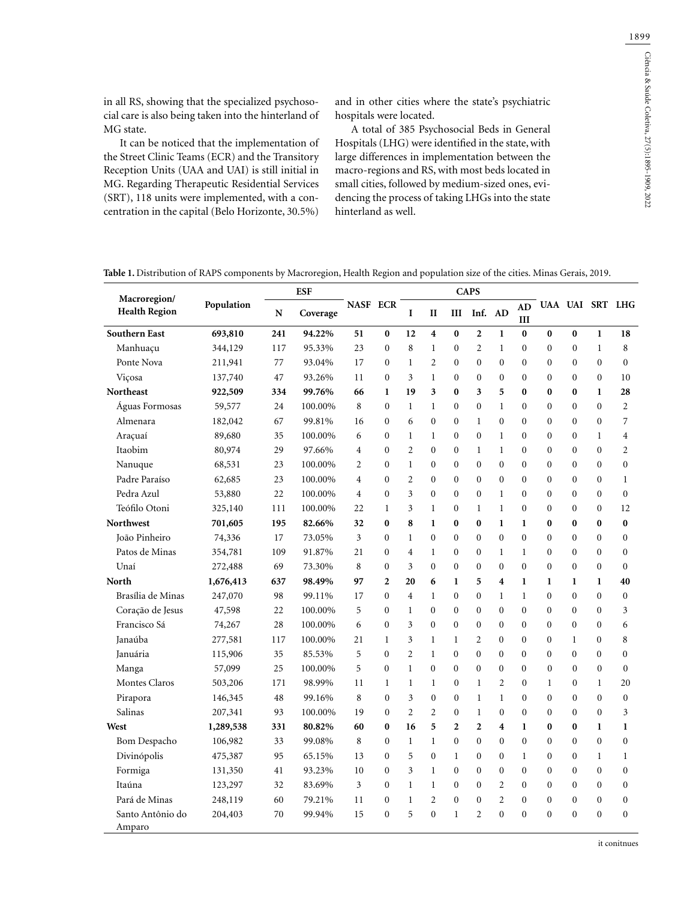in all RS, showing that the specialized psychosocial care is also being taken into the hinterland of MG state.

It can be noticed that the implementation of the Street Clinic Teams (ECR) and the Transitory Reception Units (UAA and UAI) is still initial in MG. Regarding Therapeutic Residential Services (SRT), 118 units were implemented, with a concentration in the capital (Belo Horizonte, 30.5%)

and in other cities where the state's psychiatric hospitals were located.

A total of 385 Psychosocial Beds in General Hospitals (LHG) were identified in the state, with large differences in implementation between the macro-regions and RS, with most beds located in small cities, followed by medium-sized ones, evidencing the process of taking LHGs into the state hinterland as well.

**Table 1.** Distribution of RAPS components by Macroregion, Health Region and population size of the cities. Minas Gerais, 2019.

| Macroregion/               |            | <b>ESF</b> |          |                 |                  |                |                         |                | <b>CAPS</b>      |                |                  |                  |              |                 |                  |
|----------------------------|------------|------------|----------|-----------------|------------------|----------------|-------------------------|----------------|------------------|----------------|------------------|------------------|--------------|-----------------|------------------|
| <b>Health Region</b>       | Population | N          | Coverage | <b>NASF ECR</b> |                  | I              | $\mathbf{I}$            | Ш              | Inf. AD          |                | <b>AD</b><br>III |                  |              | UAA UAI SRT LHG |                  |
| <b>Southern East</b>       | 693,810    | 241        | 94.22%   | 51              | $\bf{0}$         | 12             | $\overline{\mathbf{4}}$ | $\bf{0}$       | $\overline{2}$   | $\mathbf{1}$   | $\bf{0}$         | $\bf{0}$         | $\bf{0}$     | $\mathbf{1}$    | 18               |
| Manhuaçu                   | 344,129    | 117        | 95.33%   | 23              | 0                | 8              | $\mathbf{1}$            | $\Omega$       | $\overline{c}$   | $\mathbf{1}$   | $\Omega$         | $\theta$         | $\theta$     | $\mathbf{1}$    | 8                |
| Ponte Nova                 | 211,941    | 77         | 93.04%   | 17              | $\mathbf{0}$     | 1              | $\overline{c}$          | $\mathbf{0}$   | 0                | $\mathbf{0}$   | $\mathbf{0}$     | $\mathbf{0}$     | $\mathbf{0}$ | $\mathbf{0}$    | $\boldsymbol{0}$ |
| Viçosa                     | 137,740    | 47         | 93.26%   | 11              | $\mathbf{0}$     | 3              | $\mathbf{1}$            | $\mathbf{0}$   | $\mathbf{0}$     | $\mathbf{0}$   | $\mathbf{0}$     | $\mathbf{0}$     | $\mathbf{0}$ | $\mathbf{0}$    | 10               |
| <b>Northeast</b>           | 922,509    | 334        | 99.76%   | 66              | $\bf{l}$         | 19             | 3                       | $\bf{0}$       | 3                | 5              | $\bf{0}$         | $\bf{0}$         | $\bf{0}$     | $\mathbf{1}$    | 28               |
| Águas Formosas             | 59,577     | 24         | 100.00%  | 8               | $\theta$         | 1              | $\mathbf{1}$            | $\theta$       | $\mathbf{0}$     | $\mathbf{1}$   | $\Omega$         | $\theta$         | $\theta$     | $\Omega$        | $\overline{2}$   |
| Almenara                   | 182,042    | 67         | 99.81%   | 16              | $\theta$         | 6              | $\theta$                | $\theta$       | $\mathbf{1}$     | $\theta$       | $\Omega$         | $\theta$         | $\Omega$     | $\Omega$        | $\overline{7}$   |
| Araçuaí                    | 89,680     | 35         | 100.00%  | 6               | $\mathbf{0}$     | $\mathbf{1}$   | $\mathbf{1}$            | $\mathbf{0}$   | $\mathbf{0}$     | 1              | $\mathbf{0}$     | $\mathbf{0}$     | $\mathbf{0}$ | $\mathbf{1}$    | 4                |
| Itaobim                    | 80,974     | 29         | 97.66%   | 4               | $\mathbf{0}$     | $\overline{c}$ | $\mathbf{0}$            | $\mathbf{0}$   | $\mathbf{1}$     | $\mathbf{1}$   | $\Omega$         | $\mathbf{0}$     | $\mathbf{0}$ | $\theta$        | $\overline{2}$   |
| Nanuque                    | 68,531     | 23         | 100.00%  | $\overline{c}$  | $\Omega$         | $\mathbf{1}$   | $\mathbf{0}$            | $\theta$       | $\theta$         | $\theta$       | $\Omega$         | $\mathbf{0}$     | $\mathbf{0}$ | $\theta$        | $\overline{0}$   |
| Padre Paraíso              | 62,685     | 23         | 100.00%  | 4               | $\Omega$         | $\overline{c}$ | $\theta$                | $\theta$       | $\theta$         | $\theta$       | $\Omega$         | $\theta$         | $\theta$     | $\theta$        | $\mathbf{1}$     |
| Pedra Azul                 | 53,880     | 22         | 100.00%  | 4               | $\theta$         | 3              | $\theta$                | $\Omega$       | $\theta$         | $\mathbf{1}$   | $\Omega$         | $\theta$         | $\theta$     | $\theta$        | $\boldsymbol{0}$ |
| Teófilo Otoni              | 325,140    | 111        | 100.00%  | 22              | $\mathbf{1}$     | 3              | $\mathbf{1}$            | $\mathbf{0}$   | $\mathbf{1}$     | $\mathbf{1}$   | $\mathbf{0}$     | $\mathbf{0}$     | $\mathbf{0}$ | $\mathbf{0}$    | 12               |
| <b>Northwest</b>           | 701,605    | 195        | 82.66%   | 32              | $\bf{0}$         | 8              | 1                       | $\bf{0}$       | 0                | $\mathbf{1}$   | 1                | $\bf{0}$         | $\bf{0}$     | 0               | $\bf{0}$         |
| João Pinheiro              | 74,336     | 17         | 73.05%   | 3               | $\mathbf{0}$     | $\mathbf{1}$   | $\mathbf{0}$            | $\mathbf{0}$   | $\overline{0}$   | $\Omega$       | $\Omega$         | $\mathbf{0}$     | $\mathbf{0}$ | $\mathbf{0}$    | $\boldsymbol{0}$ |
| Patos de Minas             | 354,781    | 109        | 91.87%   | 21              | $\mathbf{0}$     | 4              | $\mathbf{1}$            | $\mathbf{0}$   | $\overline{0}$   | $\mathbf{1}$   | $\mathbf{1}$     | $\mathbf{0}$     | $\mathbf{0}$ | $\theta$        | $\overline{0}$   |
| Unaí                       | 272,488    | 69         | 73.30%   | 8               | $\Omega$         | 3              | $\Omega$                | $\theta$       | $\theta$         | $\Omega$       | $\Omega$         | $\theta$         | $\theta$     | $\theta$        | $\boldsymbol{0}$ |
| North                      | 1,676,413  | 637        | 98.49%   | 97              | $\overline{c}$   | 20             | 6                       | 1              | 5                | 4              | $\mathbf{1}$     | 1                | 1            | 1               | 40               |
| Brasília de Minas          | 247,070    | 98         | 99.11%   | 17              | $\overline{0}$   | 4              | $\mathbf{1}$            | $\mathbf{0}$   | $\mathbf{0}$     | 1              | $\mathbf{1}$     | $\mathbf{0}$     | $\mathbf{0}$ | $\mathbf{0}$    | 0                |
| Coração de Jesus           | 47,598     | 22         | 100.00%  | 5               | $\overline{0}$   | $\mathbf{1}$   | $\mathbf{0}$            | $\mathbf{0}$   | $\mathbf{0}$     | $\mathbf{0}$   | $\mathbf{0}$     | $\mathbf{0}$     | $\mathbf{0}$ | $\mathbf{0}$    | 3                |
| Francisco Sá               | 74,267     | 28         | 100.00%  | 6               | $\Omega$         | 3              | $\mathbf{0}$            | $\Omega$       | $\mathbf{0}$     | $\theta$       | $\theta$         | $\mathbf{0}$     | $\mathbf{0}$ | $\Omega$        | 6                |
| Janaúba                    | 277,581    | 117        | 100.00%  | 21              | $\mathbf{1}$     | 3              | $\mathbf{1}$            | $\mathbf{1}$   | $\overline{c}$   | $\theta$       | $\theta$         | $\boldsymbol{0}$ | $\mathbf{1}$ | $\Omega$        | 8                |
| Januária                   | 115,906    | 35         | 85.53%   | 5               | $\mathbf{0}$     | 2              | $\mathbf{1}$            | $\mathbf{0}$   | $\mathbf{0}$     | $\mathbf{0}$   | $\mathbf{0}$     | $\boldsymbol{0}$ | $\mathbf{0}$ | $\overline{0}$  | $\mathbf{0}$     |
| Manga                      | 57,099     | 25         | 100.00%  | 5               | $\mathbf{0}$     | $\mathbf{1}$   | $\overline{0}$          | $\mathbf{0}$   | $\overline{0}$   | $\mathbf{0}$   | $\mathbf{0}$     | $\mathbf{0}$     | $\mathbf{0}$ | $\mathbf{0}$    | $\mathbf{0}$     |
| Montes Claros              | 503,206    | 171        | 98.99%   | 11              | 1                | 1              | $\mathbf{1}$            | $\mathbf{0}$   | 1                | $\overline{c}$ | $\Omega$         | $\mathbf{1}$     | $\mathbf{0}$ | $\mathbf{1}$    | 20               |
| Pirapora                   | 146,345    | 48         | 99.16%   | 8               | $\theta$         | 3              | $\mathbf{0}$            | $\theta$       | 1                | 1              | $\Omega$         | $\mathbf{0}$     | $\Omega$     | $\Omega$        | $\overline{0}$   |
| Salinas                    | 207,341    | 93         | 100.00%  | 19              | $\theta$         | $\overline{c}$ | $\overline{2}$          | $\theta$       | $\mathbf{1}$     | $\theta$       | $\theta$         | $\theta$         | $\Omega$     | $\theta$        | 3                |
| West                       | 1,289,538  | 331        | 80.82%   | 60              | $\bf{0}$         | 16             | 5                       | $\overline{2}$ | $\overline{2}$   | 4              | 1                | $\bf{0}$         | $\bf{0}$     | 1               | 1                |
| <b>Bom Despacho</b>        | 106,982    | 33         | 99.08%   | 8               | $\mathbf{0}$     | $\mathbf{1}$   | $\mathbf{1}$            | $\mathbf{0}$   | $\mathbf{0}$     | $\overline{0}$ | $\theta$         | $\mathbf{0}$     | $\mathbf{0}$ | $\theta$        | $\overline{0}$   |
| Divinópolis                | 475,387    | 95         | 65.15%   | 13              | $\overline{0}$   | 5              | $\mathbf{0}$            | $\mathbf{1}$   | $\mathbf{0}$     | $\overline{0}$ | $\mathbf{1}$     | $\mathbf{0}$     | $\Omega$     | $\mathbf{1}$    | 1                |
| Formiga                    | 131,350    | 41         | 93.23%   | 10              | $\overline{0}$   | 3              | $\mathbf{1}$            | $\Omega$       | $\mathbf{0}$     | $\theta$       | $\theta$         | $\theta$         | $\Omega$     | $\theta$        | $\mathbf{0}$     |
| Itaúna                     | 123,297    | 32         | 83.69%   | 3               | $\boldsymbol{0}$ | $\mathbf{1}$   | $\mathbf{1}$            | $\theta$       | $\boldsymbol{0}$ | $\overline{2}$ | $\Omega$         | $\theta$         | $\Omega$     | $\theta$        | $\boldsymbol{0}$ |
| Pará de Minas              | 248,119    | 60         | 79.21%   | 11              | $\boldsymbol{0}$ | $\mathbf{1}$   | $\overline{2}$          | $\mathbf{0}$   | $\mathbf{0}$     | $\overline{c}$ | $\mathbf{0}$     | $\mathbf{0}$     | $\mathbf{0}$ | $\mathbf{0}$    | $\boldsymbol{0}$ |
| Santo Antônio do<br>Amparo | 204,403    | 70         | 99.94%   | 15              | $\mathbf{0}$     | 5              | $\mathbf{0}$            | $\mathbf{1}$   | $\overline{c}$   | $\theta$       | $\mathbf{0}$     | $\mathbf{0}$     | $\mathbf{0}$ | $\mathbf{0}$    | 0                |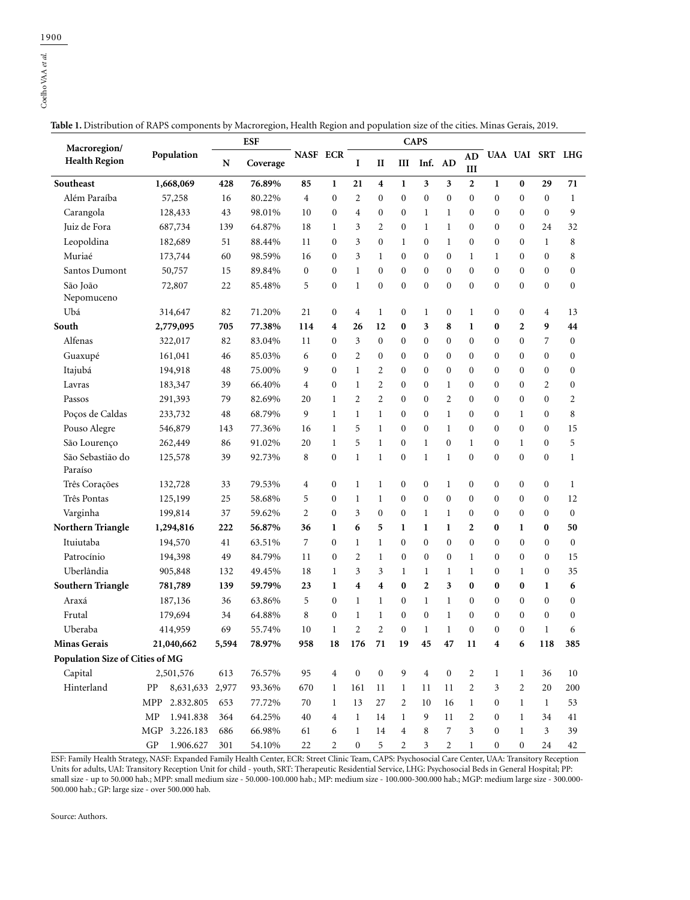| Macroregion/                    |                                 |       | <b>ESF</b> |                |                  | <b>CAPS</b>      |                  |                  |                  |                  |                  |                  |                  |                  |                  |
|---------------------------------|---------------------------------|-------|------------|----------------|------------------|------------------|------------------|------------------|------------------|------------------|------------------|------------------|------------------|------------------|------------------|
| <b>Health Region</b>            | Population                      | N     | Coverage   | NASF ECR       |                  | I                | $\mathbf{I}$     | Ш                | Inf.             | AD               | <b>AD</b><br>Ш   |                  |                  | UAA UAI SRT LHG  |                  |
| Southeast                       | 1,668,069                       | 428   | 76.89%     | 85             | $\mathbf{1}$     | 21               | 4                | $\mathbf{1}$     | 3                | 3                | $\mathbf{2}$     | $\mathbf{1}$     | 0                | 29               | 71               |
| Além Paraíba                    | 57,258                          | 16    | 80.22%     | $\overline{4}$ | $\boldsymbol{0}$ | $\overline{2}$   | 0                | $\mathbf{0}$     | $\boldsymbol{0}$ | $\boldsymbol{0}$ | 0                | $\boldsymbol{0}$ | $\boldsymbol{0}$ | $\mathbf{0}$     | $\mathbf{1}$     |
| Carangola                       | 128,433                         | 43    | 98.01%     | 10             | $\mathbf{0}$     | 4                | 0                | $\mathbf{0}$     | $\mathbf{1}$     | $\mathbf{1}$     | $\boldsymbol{0}$ | 0                | 0                | $\mathbf{0}$     | 9                |
| Juiz de Fora                    | 687,734                         | 139   | 64.87%     | 18             | $\mathbf{1}$     | 3                | 2                | $\mathbf{0}$     | $\mathbf{1}$     | $\mathbf{1}$     | $\mathbf{0}$     | $\mathbf{0}$     | $\boldsymbol{0}$ | 24               | 32               |
| Leopoldina                      | 182,689                         | 51    | 88.44%     | 11             | $\boldsymbol{0}$ | 3                | 0                | 1                | $\bf{0}$         | $\mathbf{1}$     | $\boldsymbol{0}$ | $\boldsymbol{0}$ | $\boldsymbol{0}$ | 1                | 8                |
| Muriaé                          | 173,744                         | 60    | 98.59%     | 16             | $\mathbf{0}$     | 3                | 1                | $\mathbf{0}$     | $\boldsymbol{0}$ | $\boldsymbol{0}$ | 1                | 1                | $\boldsymbol{0}$ | $\mathbf{0}$     | 8                |
| Santos Dumont                   | 50,757                          | 15    | 89.84%     | $\mathbf{0}$   | $\mathbf{0}$     | 1                | $\mathbf{0}$     | $\mathbf{0}$     | $\boldsymbol{0}$ | $\mathbf{0}$     | $\mathbf{0}$     | $\boldsymbol{0}$ | 0                | $\mathbf{0}$     | 0                |
| São João<br>Nepomuceno          | 72,807                          | 22    | 85.48%     | 5              | $\mathbf{0}$     | $\mathbf{1}$     | $\overline{0}$   | $\mathbf{0}$     | $\mathbf{0}$     | $\mathbf{0}$     | $\mathbf{0}$     | $\mathbf{0}$     | $\overline{0}$   | $\mathbf{0}$     | $\mathbf{0}$     |
| Ubá                             | 314,647                         | 82    | 71.20%     | 21             | 0                | 4                | $\mathbf{1}$     | $\bf{0}$         | $\mathbf{1}$     | $\boldsymbol{0}$ | 1                | $\boldsymbol{0}$ | 0                | 4                | 13               |
| South                           | 2,779,095                       | 705   | 77.38%     | 114            | 4                | 26               | 12               | $\bf{0}$         | 3                | 8                | 1                | $\bf{0}$         | 2                | 9                | 44               |
| Alfenas                         | 322,017                         | 82    | 83.04%     | 11             | $\mathbf{0}$     | 3                | 0                | $\mathbf{0}$     | $\boldsymbol{0}$ | $\boldsymbol{0}$ | $\mathbf{0}$     | $\boldsymbol{0}$ | 0                | 7                | $\boldsymbol{0}$ |
| Guaxupé                         | 161,041                         | 46    | 85.03%     | 6              | $\mathbf{0}$     | 2                | 0                | $\mathbf{0}$     | $\boldsymbol{0}$ | $\boldsymbol{0}$ | $\mathbf{0}$     | $\mathbf{0}$     | $\boldsymbol{0}$ | $\mathbf{0}$     | 0                |
| Itajubá                         | 194,918                         | 48    | 75.00%     | 9              | $\mathbf{0}$     | 1                | 2                | $\mathbf{0}$     | $\boldsymbol{0}$ | $\boldsymbol{0}$ | $\mathbf{0}$     | $\bf{0}$         | $\boldsymbol{0}$ | $\mathbf{0}$     | 0                |
| Lavras                          | 183,347                         | 39    | 66.40%     | 4              | $\mathbf{0}$     | $\mathbf{1}$     | 2                | $\mathbf{0}$     | $\boldsymbol{0}$ | $\mathbf{1}$     | $\mathbf{0}$     | $\mathbf{0}$     | $\mathbf{0}$     | 2                | 0                |
| Passos                          | 291,393                         | 79    | 82.69%     | 20             | 1                | 2                | 2                | $\overline{0}$   | $\boldsymbol{0}$ | 2                | $\boldsymbol{0}$ | $\boldsymbol{0}$ | $\mathbf{0}$     | $\mathbf{0}$     | 2                |
| Poços de Caldas                 | 233,732                         | 48    | 68.79%     | 9              | $\mathbf{1}$     | 1                | $\mathbf{1}$     | $\mathbf{0}$     | $\boldsymbol{0}$ | $\mathbf{1}$     | $\mathbf{0}$     | $\boldsymbol{0}$ | 1                | $\mathbf{0}$     | 8                |
| Pouso Alegre                    | 546,879                         | 143   | 77.36%     | 16             | 1                | 5                | $\mathbf{1}$     | $\mathbf{0}$     | $\boldsymbol{0}$ | $\mathbf{1}$     | $\mathbf{0}$     | $\bf{0}$         | $\boldsymbol{0}$ | $\mathbf{0}$     | 15               |
| São Lourenço                    | 262,449                         | 86    | 91.02%     | 20             | $\mathbf{1}$     | 5                | $\mathbf{1}$     | $\overline{0}$   | $\mathbf{1}$     | $\mathbf{0}$     | $\mathbf{1}$     | $\mathbf{0}$     | $\mathbf{1}$     | $\mathbf{0}$     | 5                |
| São Sebastião do<br>Paraíso     | 125,578                         | 39    | 92.73%     | 8              | 0                | 1                | $\mathbf{1}$     | $\mathbf{0}$     | $\mathbf{1}$     | 1                | $\mathbf{0}$     | $\boldsymbol{0}$ | $\boldsymbol{0}$ | $\mathbf{0}$     | 1                |
| Três Corações                   | 132,728                         | 33    | 79.53%     | 4              | 0                | $\mathbf{1}$     | 1                | $\boldsymbol{0}$ | $\boldsymbol{0}$ | $\mathbf{1}$     | $\boldsymbol{0}$ | $\boldsymbol{0}$ | $\boldsymbol{0}$ | $\boldsymbol{0}$ | $\mathbf{1}$     |
| Três Pontas                     | 125,199                         | 25    | 58.68%     | 5              | $\mathbf{0}$     | $\mathbf{1}$     | $\mathbf{1}$     | $\mathbf{0}$     | $\boldsymbol{0}$ | $\boldsymbol{0}$ | $\boldsymbol{0}$ | $\bf{0}$         | $\boldsymbol{0}$ | $\mathbf{0}$     | 12               |
| Varginha                        | 199,814                         | 37    | 59.62%     | $\overline{2}$ | $\mathbf{0}$     | 3                | $\mathbf{0}$     | $\mathbf{0}$     | $\mathbf{1}$     | $\mathbf{1}$     | $\boldsymbol{0}$ | $\mathbf{0}$     | $\boldsymbol{0}$ | $\mathbf{0}$     | $\mathbf{0}$     |
| Northern Triangle               | 1,294,816                       | 222   | 56.87%     | 36             | 1                | 6                | 5                | 1                | 1                | 1                | $\overline{2}$   | 0                | 1                | $\bf{0}$         | 50               |
| Ituiutaba                       | 194,570                         | 41    | 63.51%     | 7              | $\mathbf{0}$     | $\mathbf{1}$     | $\mathbf{1}$     | $\mathbf{0}$     | $\boldsymbol{0}$ | $\mathbf{0}$     | $\mathbf{0}$     | $\mathbf{0}$     | $\mathbf{0}$     | $\mathbf{0}$     | $\mathbf{0}$     |
| Patrocínio                      | 194,398                         | 49    | 84.79%     | 11             | $\boldsymbol{0}$ | 2                | 1                | $\mathbf{0}$     | $\boldsymbol{0}$ | $\boldsymbol{0}$ | 1                | 0                | $\boldsymbol{0}$ | $\mathbf{0}$     | 15               |
| Uberlândia                      | 905,848                         | 132   | 49.45%     | 18             | $\mathbf{1}$     | 3                | 3                | 1                | $\mathbf{1}$     | $\mathbf{1}$     | 1                | $\boldsymbol{0}$ | $\mathbf{1}$     | $\mathbf{0}$     | 35               |
| Southern Triangle               | 781,789                         | 139   | 59.79%     | 23             | 1                | 4                | 4                | $\bf{0}$         | $\mathbf{2}$     | 3                | 0                | 0                | 0                | 1                | 6                |
| Araxá                           | 187,136                         | 36    | 63.86%     | 5              | $\mathbf{0}$     | $\mathbf{1}$     | $\mathbf{1}$     | $\Omega$         | $\mathbf{1}$     | $\mathbf{1}$     | $\mathbf{0}$     | $\mathbf{0}$     | $\boldsymbol{0}$ | $\mathbf{0}$     | $\mathbf{0}$     |
| Frutal                          | 179,694                         | 34    | 64.88%     | 8              | $\boldsymbol{0}$ | 1                | 1                | $\mathbf{0}$     | $\bf{0}$         | 1                | $\mathbf{0}$     | 0                | $\boldsymbol{0}$ | $\mathbf{0}$     | $\boldsymbol{0}$ |
| Uberaba                         | 414,959                         | 69    | 55.74%     | 10             | 1                | 2                | 2                | $\mathbf{0}$     | $\mathbf{1}$     | $\mathbf{1}$     | $\mathbf{0}$     | $\mathbf{0}$     | $\boldsymbol{0}$ | $\mathbf{1}$     | 6                |
| <b>Minas Gerais</b>             | 21,040,662                      | 5,594 | 78.97%     | 958            | 18               | 176              | 71               | 19               | 45               | 47               | 11               | 4                | 6                | 118              | 385              |
| Population Size of Cities of MG |                                 |       |            |                |                  |                  |                  |                  |                  |                  |                  |                  |                  |                  |                  |
| Capital                         | 2,501,576                       | 613   | 76.57%     | 95             | $\overline{4}$   | $\boldsymbol{0}$ | $\boldsymbol{0}$ | 9                | $\overline{4}$   | $\boldsymbol{0}$ | $\overline{c}$   | $\mathbf{1}$     | $\mathbf{1}$     | 36               | 10               |
| Hinterland                      | ${\rm PP}$<br>8,631,633         | 2,977 | 93.36%     | 670            | $\mathbf{1}$     | 161              | 11               | $\mathbf{1}$     | 11               | 11               | $\overline{c}$   | 3                | $\overline{c}$   | 20               | 200              |
|                                 | MPP<br>2.832.805                | 653   | 77.72%     | $70\,$         | $\mathbf{1}$     | 13               | $27\,$           | 2                | 10               | 16               | $\mathbf{1}$     | $\boldsymbol{0}$ | $\mathbf{1}$     | 1                | 53               |
|                                 | ${\rm MP}$<br>1.941.838         | 364   | 64.25%     | 40             | $\overline{4}$   | $\mathbf{1}$     | 14               | $\mathbf{1}$     | 9                | 11               | 2                | $\boldsymbol{0}$ | $\mathbf{1}$     | 34               | 41               |
|                                 | MGP<br>3.226.183                | 686   | 66.98%     | 61             | 6                | $\mathbf{1}$     | 14               | 4                | 8                | 7                | 3                | $\boldsymbol{0}$ | $\mathbf{1}$     | 3                | 39               |
|                                 | $\mbox{G}\mbox{P}$<br>1.906.627 | 301   | 54.10%     | 22             | 2                | $\boldsymbol{0}$ | 5                | 2                | 3                | 2                | $\mathbf{1}$     | $\boldsymbol{0}$ | 0                | 24               | 42               |

**Table 1.** Distribution of RAPS components by Macroregion, Health Region and population size of the cities. Minas Gerais, 2019.

ESF: Family Health Strategy, NASF: Expanded Family Health Center, ECR: Street Clinic Team, CAPS: Psychosocial Care Center, UAA: Transitory Reception Units for adults, UAI: Transitory Reception Unit for child - youth, SRT: Therapeutic Residential Service, LHG: Psychosocial Beds in General Hospital; PP: small size - up to 50.000 hab.; MPP: small medium size - 50.000-100.000 hab.; MP: medium size - 100.000-300.000 hab.; MGP: medium large size - 300.000- 500.000 hab.; GP: large size - over 500.000 hab.

Source: Authors.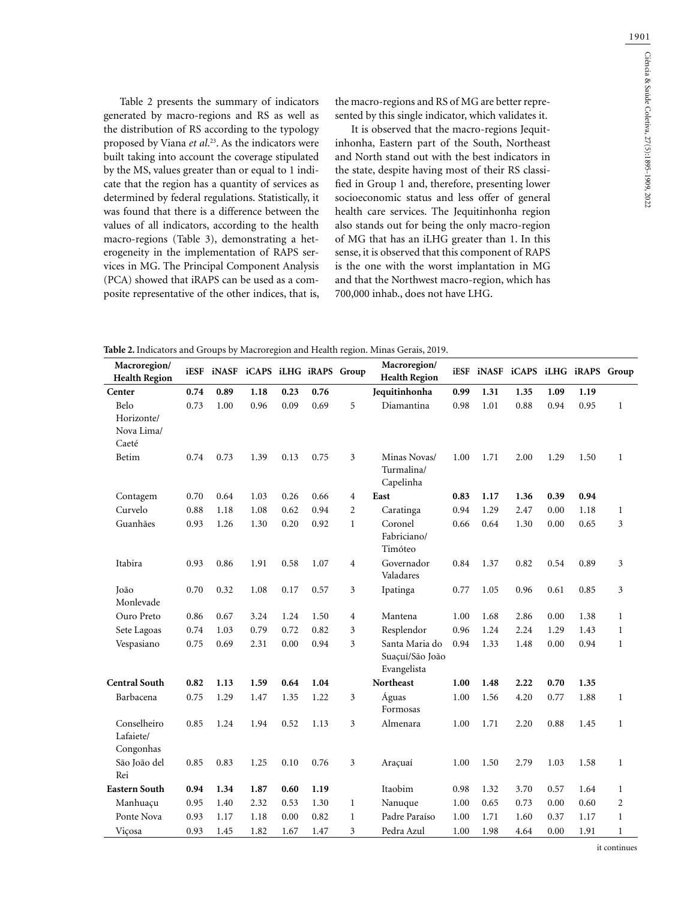1901

Table 2 presents the summary of indicators generated by macro-regions and RS as well as the distribution of RS according to the typology proposed by Viana *et al*. 23. As the indicators were built taking into account the coverage stipulated by the MS, values greater than or equal to 1 indicate that the region has a quantity of services as determined by federal regulations. Statistically, it was found that there is a difference between the values of all indicators, according to the health macro-regions (Table 3), demonstrating a heterogeneity in the implementation of RAPS services in MG. The Principal Component Analysis (PCA) showed that iRAPS can be used as a composite representative of the other indices, that is,

the macro-regions and RS of MG are better represented by this single indicator, which validates it.

It is observed that the macro-regions Jequitinhonha, Eastern part of the South, Northeast and North stand out with the best indicators in the state, despite having most of their RS classified in Group 1 and, therefore, presenting lower socioeconomic status and less offer of general health care services. The Jequitinhonha region also stands out for being the only macro-region of MG that has an iLHG greater than 1. In this sense, it is observed that this component of RAPS is the one with the worst implantation in MG and that the Northwest macro-region, which has 700,000 inhab., does not have LHG.

**Table 2.** Indicators and Groups by Macroregion and Health region. Minas Gerais, 2019.

| 0.74<br>0.89<br>1.18<br>0.23<br>Jequitinhonha<br>1.31<br>1.35<br>1.09<br>1.19<br>Center<br>0.76<br>0.99<br>Belo<br>5<br>Diamantina<br>0.73<br>1.00<br>0.96<br>0.09<br>0.69<br>0.98<br>1.01<br>0.88<br>0.94<br>0.95<br>$\mathbf{1}$<br>Horizonte/<br>Nova Lima/<br>Caeté<br>Betim<br>3<br>0.74<br>0.73<br>1.39<br>0.75<br>Minas Novas/<br>1.71<br>2.00<br>1.29<br>0.13<br>1.00<br>1.50<br>$\mathbf{1}$<br>Turmalina/<br>Capelinha<br>0.70<br>0.64<br>1.03<br>0.26<br>0.66<br>$\overline{4}$<br>East<br>1.36<br>0.39<br>0.94<br>Contagem<br>0.83<br>1.17<br>Curvelo<br>0.88<br>1.08<br>Caratinga<br>1.18<br>0.62<br>0.94<br>$\overline{2}$<br>0.94<br>1.29<br>2.47<br>0.00<br>1.18<br>$\mathbf{1}$<br>Guanhães<br>0.93<br>1.30<br>0.20<br>0.92<br>$\mathbf{1}$<br>Coronel<br>0.64<br>1.30<br>0.00<br>0.65<br>3<br>1.26<br>0.66<br>Fabriciano/<br>Timóteo<br>Itabira<br>0.93<br>0.86<br>1.91<br>0.58<br>1.07<br>$\overline{4}$<br>Governador<br>0.84<br>0.82<br>0.54<br>0.89<br>3<br>1.37<br>Valadares<br>0.70<br>0.32<br>1.08<br>0.17<br>0.57<br>3<br>Ipatinga<br>1.05<br>0.96<br>0.61<br>0.85<br>3<br>João<br>0.77<br>Monlevade<br>Ouro Preto<br>0.86<br>0.00<br>0.67<br>3.24<br>1.24<br>1.50<br>$\overline{4}$<br>Mantena<br>1.00<br>1.68<br>2.86<br>1.38<br>$\mathbf{1}$<br>3<br>Sete Lagoas<br>0.74<br>1.03<br>0.79<br>0.82<br>Resplendor<br>0.96<br>1.24<br>2.24<br>1.29<br>0.72<br>1.43<br>$\mathbf{1}$<br>3<br>Vespasiano<br>0.75<br>0.69<br>2.31<br>0.94<br>Santa Maria do<br>0.94<br>1.48<br>0.94<br>0.00<br>1.33<br>0.00<br>$\mathbf{1}$<br>Suaçuí/São João<br>Evangelista<br><b>Central South</b><br>Northeast<br>0.82<br>1.59<br>1.00<br>2.22<br>0.70<br>1.35<br>1.13<br>0.64<br>1.04<br>1.48<br>Barbacena<br>0.75<br>1.29<br>1.47<br>1.35<br>1.22<br>3<br>Águas<br>4.20<br>0.77<br>1.88<br>1.00<br>1.56<br>$\mathbf{1}$<br>Formosas<br>Conselheiro<br>0.85<br>1.24<br>1.94<br>0.52<br>1.13<br>3<br>1.00<br>1.71<br>2.20<br>0.88<br>1.45<br>$\mathbf{1}$<br>Almenara<br>Lafaiete/<br>Congonhas<br>3<br>São João del<br>0.85<br>0.83<br>1.25<br>0.10<br>0.76<br>1.00<br>1.50<br>2.79<br>1.03<br>1.58<br>$\mathbf{1}$<br>Araçuaí<br>Rei<br><b>Eastern South</b><br>1.87<br>Itaobim<br>3.70<br>0.57<br>1.64<br>0.94<br>1.34<br>0.60<br>1.19<br>0.98<br>1.32<br>$\mathbf{1}$<br>0.95<br>1.40<br>2.32<br>1.30<br>$\mathbf{1}$<br>0.65<br>0.73<br>0.00<br>0.60<br>$\overline{2}$<br>Manhuaçu<br>0.53<br>Nanuque<br>1.00<br>Ponte Nova<br>0.93<br>Padre Paraíso<br>1.71<br>0.37<br>1.17<br>1.17<br>1.18<br>0.00<br>0.82<br>$\mathbf{1}$<br>1.00<br>1.60<br>$\mathbf{1}$<br>0.93<br>1.82<br>3<br>Pedra Azul<br>1.98<br>4.64<br>1.91<br>Viçosa<br>1.45<br>1.67<br>1.47<br>1.00<br>0.00<br>$\mathbf 1$ | Macroregion/<br><b>Health Region</b> | iESF | iNASF iCAPS iLHG iRAPS Group |  | Macroregion/<br><b>Health Region</b> | iESF | iNASF iCAPS iLHG iRAPS Group |  |  |
|--------------------------------------------------------------------------------------------------------------------------------------------------------------------------------------------------------------------------------------------------------------------------------------------------------------------------------------------------------------------------------------------------------------------------------------------------------------------------------------------------------------------------------------------------------------------------------------------------------------------------------------------------------------------------------------------------------------------------------------------------------------------------------------------------------------------------------------------------------------------------------------------------------------------------------------------------------------------------------------------------------------------------------------------------------------------------------------------------------------------------------------------------------------------------------------------------------------------------------------------------------------------------------------------------------------------------------------------------------------------------------------------------------------------------------------------------------------------------------------------------------------------------------------------------------------------------------------------------------------------------------------------------------------------------------------------------------------------------------------------------------------------------------------------------------------------------------------------------------------------------------------------------------------------------------------------------------------------------------------------------------------------------------------------------------------------------------------------------------------------------------------------------------------------------------------------------------------------------------------------------------------------------------------------------------------------------------------------------------------------------------------------------------------------------------------------------------------------------------------------------------------------------------------------------------------------------------------------------------------------------------------------------------------------------------------------------------|--------------------------------------|------|------------------------------|--|--------------------------------------|------|------------------------------|--|--|
|                                                                                                                                                                                                                                                                                                                                                                                                                                                                                                                                                                                                                                                                                                                                                                                                                                                                                                                                                                                                                                                                                                                                                                                                                                                                                                                                                                                                                                                                                                                                                                                                                                                                                                                                                                                                                                                                                                                                                                                                                                                                                                                                                                                                                                                                                                                                                                                                                                                                                                                                                                                                                                                                                                        |                                      |      |                              |  |                                      |      |                              |  |  |
|                                                                                                                                                                                                                                                                                                                                                                                                                                                                                                                                                                                                                                                                                                                                                                                                                                                                                                                                                                                                                                                                                                                                                                                                                                                                                                                                                                                                                                                                                                                                                                                                                                                                                                                                                                                                                                                                                                                                                                                                                                                                                                                                                                                                                                                                                                                                                                                                                                                                                                                                                                                                                                                                                                        |                                      |      |                              |  |                                      |      |                              |  |  |
|                                                                                                                                                                                                                                                                                                                                                                                                                                                                                                                                                                                                                                                                                                                                                                                                                                                                                                                                                                                                                                                                                                                                                                                                                                                                                                                                                                                                                                                                                                                                                                                                                                                                                                                                                                                                                                                                                                                                                                                                                                                                                                                                                                                                                                                                                                                                                                                                                                                                                                                                                                                                                                                                                                        |                                      |      |                              |  |                                      |      |                              |  |  |
|                                                                                                                                                                                                                                                                                                                                                                                                                                                                                                                                                                                                                                                                                                                                                                                                                                                                                                                                                                                                                                                                                                                                                                                                                                                                                                                                                                                                                                                                                                                                                                                                                                                                                                                                                                                                                                                                                                                                                                                                                                                                                                                                                                                                                                                                                                                                                                                                                                                                                                                                                                                                                                                                                                        |                                      |      |                              |  |                                      |      |                              |  |  |
|                                                                                                                                                                                                                                                                                                                                                                                                                                                                                                                                                                                                                                                                                                                                                                                                                                                                                                                                                                                                                                                                                                                                                                                                                                                                                                                                                                                                                                                                                                                                                                                                                                                                                                                                                                                                                                                                                                                                                                                                                                                                                                                                                                                                                                                                                                                                                                                                                                                                                                                                                                                                                                                                                                        |                                      |      |                              |  |                                      |      |                              |  |  |
|                                                                                                                                                                                                                                                                                                                                                                                                                                                                                                                                                                                                                                                                                                                                                                                                                                                                                                                                                                                                                                                                                                                                                                                                                                                                                                                                                                                                                                                                                                                                                                                                                                                                                                                                                                                                                                                                                                                                                                                                                                                                                                                                                                                                                                                                                                                                                                                                                                                                                                                                                                                                                                                                                                        |                                      |      |                              |  |                                      |      |                              |  |  |
|                                                                                                                                                                                                                                                                                                                                                                                                                                                                                                                                                                                                                                                                                                                                                                                                                                                                                                                                                                                                                                                                                                                                                                                                                                                                                                                                                                                                                                                                                                                                                                                                                                                                                                                                                                                                                                                                                                                                                                                                                                                                                                                                                                                                                                                                                                                                                                                                                                                                                                                                                                                                                                                                                                        |                                      |      |                              |  |                                      |      |                              |  |  |
|                                                                                                                                                                                                                                                                                                                                                                                                                                                                                                                                                                                                                                                                                                                                                                                                                                                                                                                                                                                                                                                                                                                                                                                                                                                                                                                                                                                                                                                                                                                                                                                                                                                                                                                                                                                                                                                                                                                                                                                                                                                                                                                                                                                                                                                                                                                                                                                                                                                                                                                                                                                                                                                                                                        |                                      |      |                              |  |                                      |      |                              |  |  |
|                                                                                                                                                                                                                                                                                                                                                                                                                                                                                                                                                                                                                                                                                                                                                                                                                                                                                                                                                                                                                                                                                                                                                                                                                                                                                                                                                                                                                                                                                                                                                                                                                                                                                                                                                                                                                                                                                                                                                                                                                                                                                                                                                                                                                                                                                                                                                                                                                                                                                                                                                                                                                                                                                                        |                                      |      |                              |  |                                      |      |                              |  |  |
|                                                                                                                                                                                                                                                                                                                                                                                                                                                                                                                                                                                                                                                                                                                                                                                                                                                                                                                                                                                                                                                                                                                                                                                                                                                                                                                                                                                                                                                                                                                                                                                                                                                                                                                                                                                                                                                                                                                                                                                                                                                                                                                                                                                                                                                                                                                                                                                                                                                                                                                                                                                                                                                                                                        |                                      |      |                              |  |                                      |      |                              |  |  |
|                                                                                                                                                                                                                                                                                                                                                                                                                                                                                                                                                                                                                                                                                                                                                                                                                                                                                                                                                                                                                                                                                                                                                                                                                                                                                                                                                                                                                                                                                                                                                                                                                                                                                                                                                                                                                                                                                                                                                                                                                                                                                                                                                                                                                                                                                                                                                                                                                                                                                                                                                                                                                                                                                                        |                                      |      |                              |  |                                      |      |                              |  |  |
|                                                                                                                                                                                                                                                                                                                                                                                                                                                                                                                                                                                                                                                                                                                                                                                                                                                                                                                                                                                                                                                                                                                                                                                                                                                                                                                                                                                                                                                                                                                                                                                                                                                                                                                                                                                                                                                                                                                                                                                                                                                                                                                                                                                                                                                                                                                                                                                                                                                                                                                                                                                                                                                                                                        |                                      |      |                              |  |                                      |      |                              |  |  |
|                                                                                                                                                                                                                                                                                                                                                                                                                                                                                                                                                                                                                                                                                                                                                                                                                                                                                                                                                                                                                                                                                                                                                                                                                                                                                                                                                                                                                                                                                                                                                                                                                                                                                                                                                                                                                                                                                                                                                                                                                                                                                                                                                                                                                                                                                                                                                                                                                                                                                                                                                                                                                                                                                                        |                                      |      |                              |  |                                      |      |                              |  |  |
|                                                                                                                                                                                                                                                                                                                                                                                                                                                                                                                                                                                                                                                                                                                                                                                                                                                                                                                                                                                                                                                                                                                                                                                                                                                                                                                                                                                                                                                                                                                                                                                                                                                                                                                                                                                                                                                                                                                                                                                                                                                                                                                                                                                                                                                                                                                                                                                                                                                                                                                                                                                                                                                                                                        |                                      |      |                              |  |                                      |      |                              |  |  |
|                                                                                                                                                                                                                                                                                                                                                                                                                                                                                                                                                                                                                                                                                                                                                                                                                                                                                                                                                                                                                                                                                                                                                                                                                                                                                                                                                                                                                                                                                                                                                                                                                                                                                                                                                                                                                                                                                                                                                                                                                                                                                                                                                                                                                                                                                                                                                                                                                                                                                                                                                                                                                                                                                                        |                                      |      |                              |  |                                      |      |                              |  |  |
|                                                                                                                                                                                                                                                                                                                                                                                                                                                                                                                                                                                                                                                                                                                                                                                                                                                                                                                                                                                                                                                                                                                                                                                                                                                                                                                                                                                                                                                                                                                                                                                                                                                                                                                                                                                                                                                                                                                                                                                                                                                                                                                                                                                                                                                                                                                                                                                                                                                                                                                                                                                                                                                                                                        |                                      |      |                              |  |                                      |      |                              |  |  |
|                                                                                                                                                                                                                                                                                                                                                                                                                                                                                                                                                                                                                                                                                                                                                                                                                                                                                                                                                                                                                                                                                                                                                                                                                                                                                                                                                                                                                                                                                                                                                                                                                                                                                                                                                                                                                                                                                                                                                                                                                                                                                                                                                                                                                                                                                                                                                                                                                                                                                                                                                                                                                                                                                                        |                                      |      |                              |  |                                      |      |                              |  |  |
|                                                                                                                                                                                                                                                                                                                                                                                                                                                                                                                                                                                                                                                                                                                                                                                                                                                                                                                                                                                                                                                                                                                                                                                                                                                                                                                                                                                                                                                                                                                                                                                                                                                                                                                                                                                                                                                                                                                                                                                                                                                                                                                                                                                                                                                                                                                                                                                                                                                                                                                                                                                                                                                                                                        |                                      |      |                              |  |                                      |      |                              |  |  |
|                                                                                                                                                                                                                                                                                                                                                                                                                                                                                                                                                                                                                                                                                                                                                                                                                                                                                                                                                                                                                                                                                                                                                                                                                                                                                                                                                                                                                                                                                                                                                                                                                                                                                                                                                                                                                                                                                                                                                                                                                                                                                                                                                                                                                                                                                                                                                                                                                                                                                                                                                                                                                                                                                                        |                                      |      |                              |  |                                      |      |                              |  |  |

it continues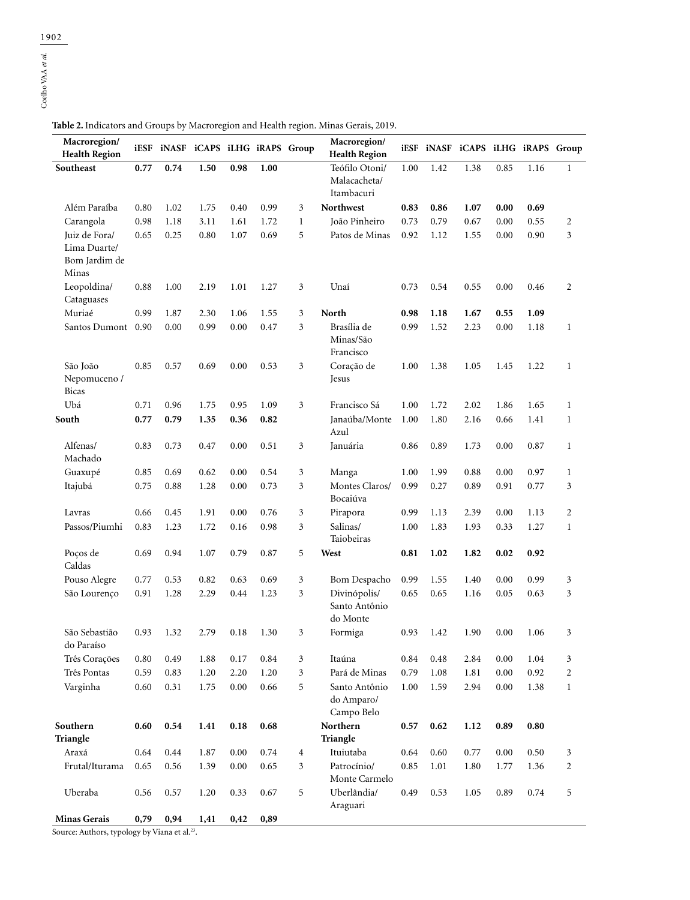| Macroregion/<br><b>Health Region</b>     |      | iESF iNASF iCAPS iLHG iRAPS Group |      |          |      |                | Macroregion/<br><b>Health Region</b>         |      |      | iESF INASF ICAPS ILHG IRAPS Group |      |      |                |
|------------------------------------------|------|-----------------------------------|------|----------|------|----------------|----------------------------------------------|------|------|-----------------------------------|------|------|----------------|
| Southeast                                | 0.77 | 0.74                              | 1.50 | 0.98     | 1.00 |                | Teófilo Otoni/<br>Malacacheta/<br>Itambacuri | 1.00 | 1.42 | 1.38                              | 0.85 | 1.16 | $\mathbf{1}$   |
| Além Paraíba                             | 0.80 | 1.02                              | 1.75 | 0.40     | 0.99 | 3              | Northwest                                    | 0.83 | 0.86 | 1.07                              | 0.00 | 0.69 |                |
| Carangola                                | 0.98 | 1.18                              | 3.11 | 1.61     | 1.72 | 1              | João Pinheiro                                | 0.73 | 0.79 | 0.67                              | 0.00 | 0.55 | 2              |
| Juiz de Fora/                            | 0.65 | 0.25                              | 0.80 | 1.07     | 0.69 | 5              | Patos de Minas                               | 0.92 | 1.12 | 1.55                              | 0.00 | 0.90 | 3              |
| Lima Duarte/<br>Bom Jardim de<br>Minas   |      |                                   |      |          |      |                |                                              |      |      |                                   |      |      |                |
| Leopoldina/<br>Cataguases                | 0.88 | 1.00                              | 2.19 | 1.01     | 1.27 | 3              | Unaí                                         | 0.73 | 0.54 | 0.55                              | 0.00 | 0.46 | 2              |
| Muriaé                                   | 0.99 | 1.87                              | 2.30 | 1.06     | 1.55 | 3              | North                                        | 0.98 | 1.18 | 1.67                              | 0.55 | 1.09 |                |
| Santos Dumont 0.90                       |      | 0.00                              | 0.99 | 0.00     | 0.47 | 3              | Brasília de<br>Minas/São<br>Francisco        | 0.99 | 1.52 | 2.23                              | 0.00 | 1.18 | $\mathbf{1}$   |
| São João<br>Nepomuceno /<br><b>Bicas</b> | 0.85 | 0.57                              | 0.69 | 0.00     | 0.53 | 3              | Coração de<br>Jesus                          | 1.00 | 1.38 | 1.05                              | 1.45 | 1.22 | $\mathbf{1}$   |
| Ubá                                      | 0.71 | 0.96                              | 1.75 | 0.95     | 1.09 | 3              | Francisco Sá                                 | 1.00 | 1.72 | 2.02                              | 1.86 | 1.65 | $\mathbf{1}$   |
| South                                    | 0.77 | 0.79                              | 1.35 | 0.36     | 0.82 |                | Janaúba/Monte<br>Azul                        | 1.00 | 1.80 | 2.16                              | 0.66 | 1.41 | $\mathbf{1}$   |
| Alfenas/<br>Machado                      | 0.83 | 0.73                              | 0.47 | 0.00     | 0.51 | 3              | Januária                                     | 0.86 | 0.89 | 1.73                              | 0.00 | 0.87 | $\mathbf{1}$   |
| Guaxupé                                  | 0.85 | 0.69                              | 0.62 | 0.00     | 0.54 | 3              | Manga                                        | 1.00 | 1.99 | 0.88                              | 0.00 | 0.97 | $\mathbf{1}$   |
| Itajubá                                  | 0.75 | 0.88                              | 1.28 | 0.00     | 0.73 | 3              | Montes Claros/<br>Bocaiúva                   | 0.99 | 0.27 | 0.89                              | 0.91 | 0.77 | 3              |
| Lavras                                   | 0.66 | 0.45                              | 1.91 | 0.00     | 0.76 | 3              | Pirapora                                     | 0.99 | 1.13 | 2.39                              | 0.00 | 1.13 | 2              |
| Passos/Piumhi                            | 0.83 | 1.23                              | 1.72 | 0.16     | 0.98 | 3              | Salinas/<br>Taiobeiras                       | 1.00 | 1.83 | 1.93                              | 0.33 | 1.27 | $\mathbf{1}$   |
| Poços de<br>Caldas                       | 0.69 | 0.94                              | 1.07 | 0.79     | 0.87 | 5              | West                                         | 0.81 | 1.02 | 1.82                              | 0.02 | 0.92 |                |
| Pouso Alegre                             | 0.77 | 0.53                              | 0.82 | 0.63     | 0.69 | 3              | Bom Despacho                                 | 0.99 | 1.55 | 1.40                              | 0.00 | 0.99 | 3              |
| São Lourenço                             | 0.91 | 1.28                              | 2.29 | 0.44     | 1.23 | 3              | Divinópolis/<br>Santo Antônio<br>do Monte    | 0.65 | 0.65 | 1.16                              | 0.05 | 0.63 | 3              |
| São Sebastião<br>do Paraíso              | 0.93 | 1.32                              | 2.79 | 0.18     | 1.30 | 3              | Formiga                                      | 0.93 | 1.42 | 1.90                              | 0.00 | 1.06 | 3              |
| Três Corações                            | 0.80 | 0.49                              | 1.88 | 0.17     | 0.84 | 3              | Itaúna                                       | 0.84 | 0.48 | 2.84                              | 0.00 | 1.04 | 3              |
| Três Pontas                              | 0.59 | 0.83                              | 1.20 | 2.20     | 1.20 | 3              | Pará de Minas                                | 0.79 | 1.08 | 1.81                              | 0.00 | 0.92 | $\overline{c}$ |
| Varginha                                 | 0.60 | 0.31                              | 1.75 | $0.00\,$ | 0.66 | 5              | Santo Antônio<br>do Amparo/<br>Campo Belo    | 1.00 | 1.59 | 2.94                              | 0.00 | 1.38 | $\mathbf{1}$   |
| Southern<br>Triangle                     | 0.60 | 0.54                              | 1.41 | 0.18     | 0.68 |                | Northern<br>Triangle                         | 0.57 | 0.62 | 1.12                              | 0.89 | 0.80 |                |
| Araxá                                    | 0.64 | 0.44                              | 1.87 | 0.00     | 0.74 | $\overline{4}$ | Ituiutaba                                    | 0.64 | 0.60 | 0.77                              | 0.00 | 0.50 | 3              |
| Frutal/Iturama                           | 0.65 | 0.56                              | 1.39 | $0.00\,$ | 0.65 | 3              | Patrocínio/<br>Monte Carmelo                 | 0.85 | 1.01 | 1.80                              | 1.77 | 1.36 | 2              |
| Uberaba                                  | 0.56 | 0.57                              | 1.20 | 0.33     | 0.67 | 5              | Uberlândia/<br>Araguari                      | 0.49 | 0.53 | 1.05                              | 0.89 | 0.74 | 5              |
| <b>Minas Gerais</b>                      | 0,79 | 0,94                              | 1,41 | 0,42     | 0,89 |                |                                              |      |      |                                   |      |      |                |

**Table 2.** Indicators and Groups by Macroregion and Health region. Minas Gerais, 2019.

Source: Authors, typology by Viana et al.<sup>23</sup>.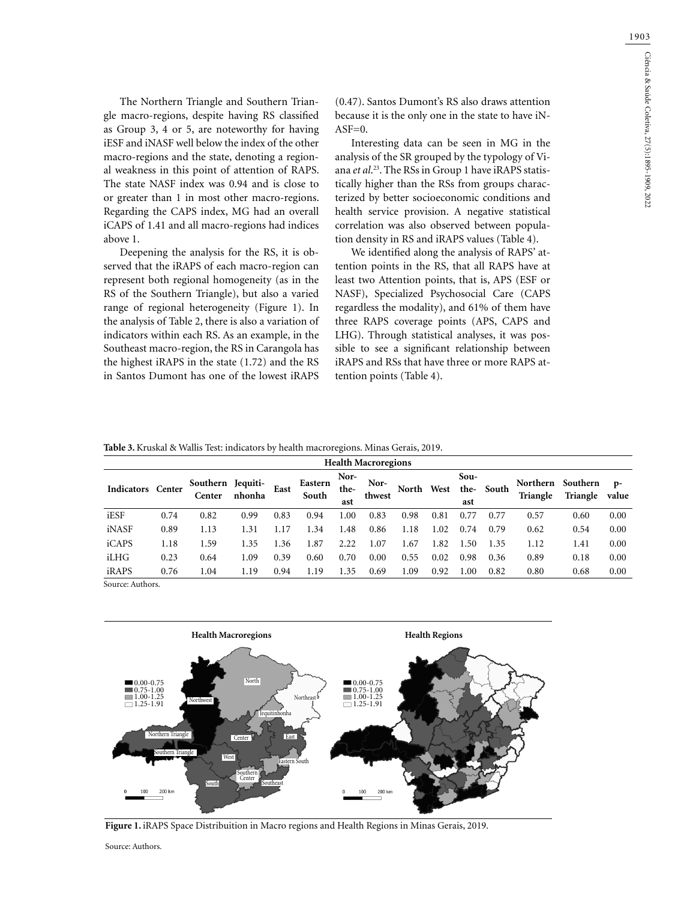1903

The Northern Triangle and Southern Triangle macro-regions, despite having RS classified as Group 3, 4 or 5, are noteworthy for having iESF and iNASF well below the index of the other macro-regions and the state, denoting a regional weakness in this point of attention of RAPS. The state NASF index was 0.94 and is close to or greater than 1 in most other macro-regions. Regarding the CAPS index, MG had an overall iCAPS of 1.41 and all macro-regions had indices above 1.

Deepening the analysis for the RS, it is observed that the iRAPS of each macro-region can represent both regional homogeneity (as in the RS of the Southern Triangle), but also a varied range of regional heterogeneity (Figure 1). In the analysis of Table 2, there is also a variation of indicators within each RS. As an example, in the Southeast macro-region, the RS in Carangola has the highest iRAPS in the state (1.72) and the RS in Santos Dumont has one of the lowest iRAPS

(0.47). Santos Dumont's RS also draws attention because it is the only one in the state to have iN- $ASF=0.$ 

Interesting data can be seen in MG in the analysis of the SR grouped by the typology of Viana *et al*. 23. The RSs in Group 1 have iRAPS statistically higher than the RSs from groups characterized by better socioeconomic conditions and health service provision. A negative statistical correlation was also observed between population density in RS and iRAPS values (Table 4).

We identified along the analysis of RAPS' attention points in the RS, that all RAPS have at least two Attention points, that is, APS (ESF or NASF), Specialized Psychosocial Care (CAPS regardless the modality), and 61% of them have three RAPS coverage points (APS, CAPS and LHG). Through statistical analyses, it was possible to see a significant relationship between iRAPS and RSs that have three or more RAPS attention points (Table 4).

**Table 3.** Kruskal & Wallis Test: indicators by health macroregions. Minas Gerais, 2019.

|                   | <b>Health Macroregions</b> |                             |        |      |                  |                     |                |       |      |             |           |                      |                      |               |
|-------------------|----------------------------|-----------------------------|--------|------|------------------|---------------------|----------------|-------|------|-------------|-----------|----------------------|----------------------|---------------|
| Indicators Center |                            | Southern Jequiti-<br>Center | nhonha | East | Eastern<br>South | Nor-<br>the-<br>ast | Nor-<br>thwest | North | West | Sou-<br>ast | the-South | Northern<br>Triangle | Southern<br>Triangle | $p-$<br>value |
| iESF              | 0.74                       | 0.82                        | 0.99   | 0.83 | 0.94             | 1.00                | 0.83           | 0.98  | 0.81 | 0.77        | 0.77      | 0.57                 | 0.60                 | 0.00          |
| iNASF             | 0.89                       | 1.13                        | 1.31   | .17  | 1.34             | 1.48                | 0.86           | 1.18  | 1.02 | 0.74        | 0.79      | 0.62                 | 0.54                 | 0.00          |
| iCAPS             | 1.18                       | 1.59                        | 1.35   | .36  | 1.87             | 2.22                | 1.07           | .67   | 1.82 | 1.50        | 1.35      | 1.12                 | 1.41                 | 0.00          |
| iLHG              | 0.23                       | 0.64                        | 1.09   | 0.39 | 0.60             | 0.70                | 0.00           | 0.55  | 0.02 | 0.98        | 0.36      | 0.89                 | 0.18                 | 0.00          |
| iRAPS             | 0.76                       | 1.04                        | 1.19   | 0.94 | 1.19             | 1.35                | 0.69           | l.09  | 0.92 | 1.00        | 0.82      | 0.80                 | 0.68                 | 0.00          |

Source: Authors.



Figure 1. iRAPS Space Distribuition in Macro regions and Health Regions in Minas Gerais, 2019.

Source: Authors.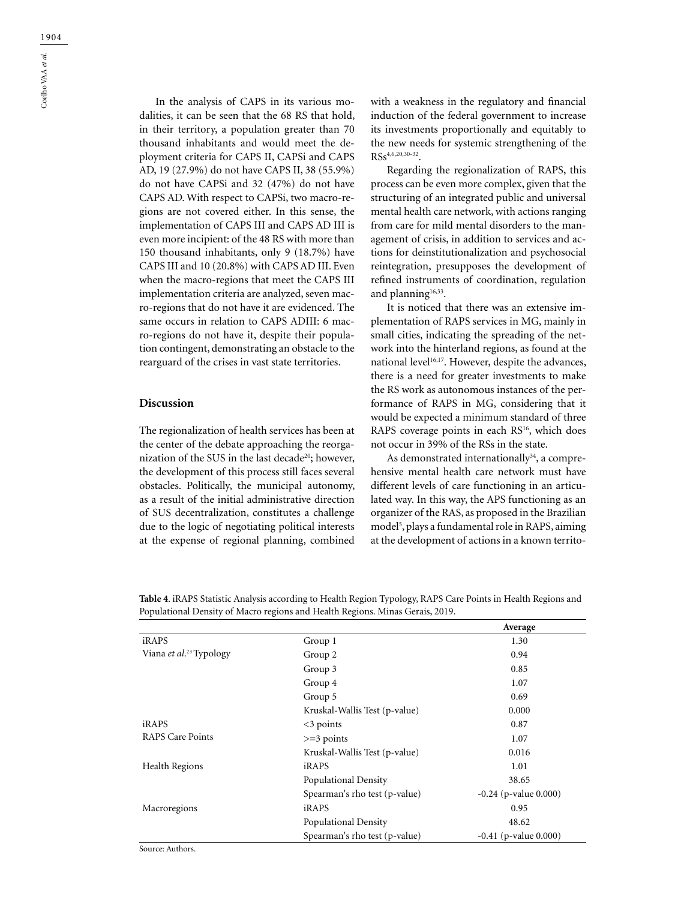In the analysis of CAPS in its various modalities, it can be seen that the 68 RS that hold, in their territory, a population greater than 70 thousand inhabitants and would meet the deployment criteria for CAPS II, CAPSi and CAPS AD, 19 (27.9%) do not have CAPS II, 38 (55.9%) do not have CAPSi and 32 (47%) do not have CAPS AD. With respect to CAPSi, two macro-regions are not covered either. In this sense, the implementation of CAPS III and CAPS AD III is even more incipient: of the 48 RS with more than 150 thousand inhabitants, only 9 (18.7%) have CAPS III and 10 (20.8%) with CAPS AD III. Even when the macro-regions that meet the CAPS III implementation criteria are analyzed, seven macro-regions that do not have it are evidenced. The same occurs in relation to CAPS ADIII: 6 macro-regions do not have it, despite their population contingent, demonstrating an obstacle to the rearguard of the crises in vast state territories.

#### **Discussion**

The regionalization of health services has been at the center of the debate approaching the reorganization of the SUS in the last decade<sup>20</sup>; however, the development of this process still faces several obstacles. Politically, the municipal autonomy, as a result of the initial administrative direction of SUS decentralization, constitutes a challenge due to the logic of negotiating political interests at the expense of regional planning, combined

with a weakness in the regulatory and financial induction of the federal government to increase its investments proportionally and equitably to the new needs for systemic strengthening of the RSs4,6,20,30-32.

Regarding the regionalization of RAPS, this process can be even more complex, given that the structuring of an integrated public and universal mental health care network, with actions ranging from care for mild mental disorders to the management of crisis, in addition to services and actions for deinstitutionalization and psychosocial reintegration, presupposes the development of refined instruments of coordination, regulation and planning $16,33$ .

It is noticed that there was an extensive implementation of RAPS services in MG, mainly in small cities, indicating the spreading of the network into the hinterland regions, as found at the national level<sup>16,17</sup>. However, despite the advances, there is a need for greater investments to make the RS work as autonomous instances of the performance of RAPS in MG, considering that it would be expected a minimum standard of three RAPS coverage points in each RS<sup>16</sup>, which does not occur in 39% of the RSs in the state.

As demonstrated internationally<sup>34</sup>, a comprehensive mental health care network must have different levels of care functioning in an articulated way. In this way, the APS functioning as an organizer of the RAS, as proposed in the Brazilian model<sup>5</sup>, plays a fundamental role in RAPS, aiming at the development of actions in a known territo-

**Table 4**. iRAPS Statistic Analysis according to Health Region Typology, RAPS Care Points in Health Regions and Populational Density of Macro regions and Health Regions. Minas Gerais, 2019.

|                                     |                               | Average                    |
|-------------------------------------|-------------------------------|----------------------------|
| iRAPS                               | Group 1                       | 1.30                       |
| Viana et al. <sup>23</sup> Typology | Group 2                       | 0.94                       |
|                                     | Group 3                       | 0.85                       |
|                                     | Group 4                       | 1.07                       |
|                                     | Group 5                       | 0.69                       |
|                                     | Kruskal-Wallis Test (p-value) | 0.000                      |
| iRAPS                               | $<$ 3 points                  | 0.87                       |
| <b>RAPS</b> Care Points             | $>=$ 3 points                 | 1.07                       |
|                                     | Kruskal-Wallis Test (p-value) | 0.016                      |
| <b>Health Regions</b>               | iRAPS                         | 1.01                       |
|                                     | Populational Density          | 38.65                      |
|                                     | Spearman's rho test (p-value) | $-0.24$ (p-value $0.000$ ) |
| Macroregions                        | iRAPS                         | 0.95                       |
|                                     | Populational Density          | 48.62                      |
|                                     | Spearman's rho test (p-value) | $-0.41$ (p-value $0.000$ ) |

Source: Authors.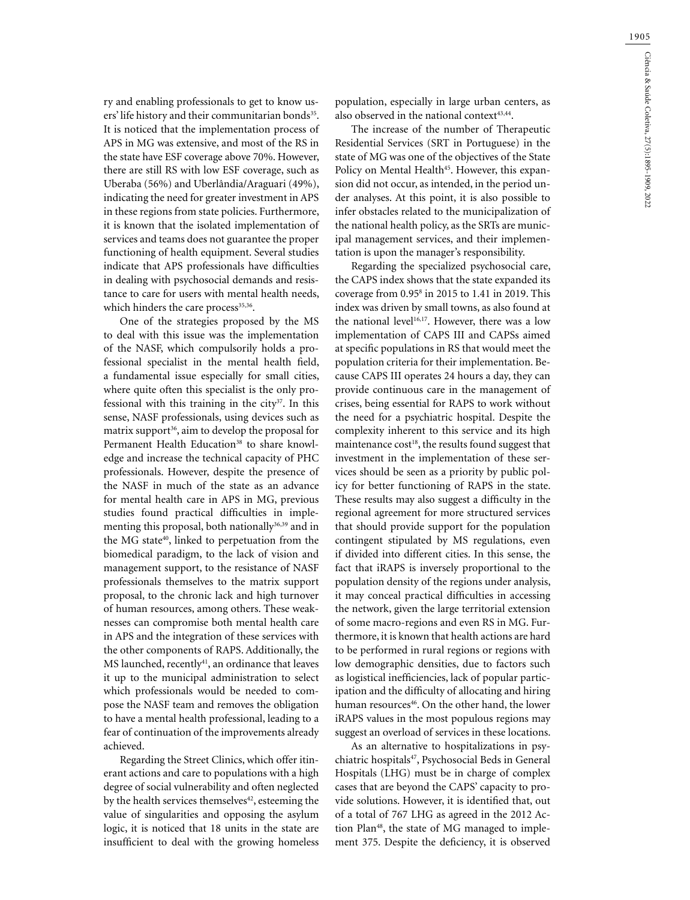ry and enabling professionals to get to know users' life history and their communitarian bonds<sup>35</sup>. It is noticed that the implementation process of APS in MG was extensive, and most of the RS in the state have ESF coverage above 70%. However, there are still RS with low ESF coverage, such as Uberaba (56%) and Uberlândia/Araguari (49%), indicating the need for greater investment in APS in these regions from state policies. Furthermore, it is known that the isolated implementation of services and teams does not guarantee the proper functioning of health equipment. Several studies indicate that APS professionals have difficulties in dealing with psychosocial demands and resistance to care for users with mental health needs, which hinders the care process<sup>35,36</sup>.

One of the strategies proposed by the MS to deal with this issue was the implementation of the NASF, which compulsorily holds a professional specialist in the mental health field, a fundamental issue especially for small cities, where quite often this specialist is the only professional with this training in the city $37$ . In this sense, NASF professionals, using devices such as matrix support<sup>36</sup>, aim to develop the proposal for Permanent Health Education<sup>38</sup> to share knowledge and increase the technical capacity of PHC professionals. However, despite the presence of the NASF in much of the state as an advance for mental health care in APS in MG, previous studies found practical difficulties in implementing this proposal, both nationally<sup>36,39</sup> and in the MG state<sup>40</sup>, linked to perpetuation from the biomedical paradigm, to the lack of vision and management support, to the resistance of NASF professionals themselves to the matrix support proposal, to the chronic lack and high turnover of human resources, among others. These weaknesses can compromise both mental health care in APS and the integration of these services with the other components of RAPS. Additionally, the MS launched, recently<sup>41</sup>, an ordinance that leaves it up to the municipal administration to select which professionals would be needed to compose the NASF team and removes the obligation to have a mental health professional, leading to a fear of continuation of the improvements already achieved.

Regarding the Street Clinics, which offer itinerant actions and care to populations with a high degree of social vulnerability and often neglected by the health services themselves $42$ , esteeming the value of singularities and opposing the asylum logic, it is noticed that 18 units in the state are insufficient to deal with the growing homeless

population, especially in large urban centers, as also observed in the national context<sup>43,44</sup>.

The increase of the number of Therapeutic Residential Services (SRT in Portuguese) in the state of MG was one of the objectives of the State Policy on Mental Health<sup>45</sup>. However, this expansion did not occur, as intended, in the period under analyses. At this point, it is also possible to infer obstacles related to the municipalization of the national health policy, as the SRTs are municipal management services, and their implementation is upon the manager's responsibility.

Regarding the specialized psychosocial care, the CAPS index shows that the state expanded its coverage from 0.958 in 2015 to 1.41 in 2019. This index was driven by small towns, as also found at the national level<sup>16,17</sup>. However, there was a low implementation of CAPS III and CAPSs aimed at specific populations in RS that would meet the population criteria for their implementation. Because CAPS III operates 24 hours a day, they can provide continuous care in the management of crises, being essential for RAPS to work without the need for a psychiatric hospital. Despite the complexity inherent to this service and its high maintenance cost<sup>18</sup>, the results found suggest that investment in the implementation of these services should be seen as a priority by public policy for better functioning of RAPS in the state. These results may also suggest a difficulty in the regional agreement for more structured services that should provide support for the population contingent stipulated by MS regulations, even if divided into different cities. In this sense, the fact that iRAPS is inversely proportional to the population density of the regions under analysis, it may conceal practical difficulties in accessing the network, given the large territorial extension of some macro-regions and even RS in MG. Furthermore, it is known that health actions are hard to be performed in rural regions or regions with low demographic densities, due to factors such as logistical inefficiencies, lack of popular participation and the difficulty of allocating and hiring human resources<sup>46</sup>. On the other hand, the lower iRAPS values in the most populous regions may suggest an overload of services in these locations.

As an alternative to hospitalizations in psychiatric hospitals<sup>47</sup>, Psychosocial Beds in General Hospitals (LHG) must be in charge of complex cases that are beyond the CAPS' capacity to provide solutions. However, it is identified that, out of a total of 767 LHG as agreed in the 2012 Action Plan<sup>48</sup>, the state of MG managed to implement 375. Despite the deficiency, it is observed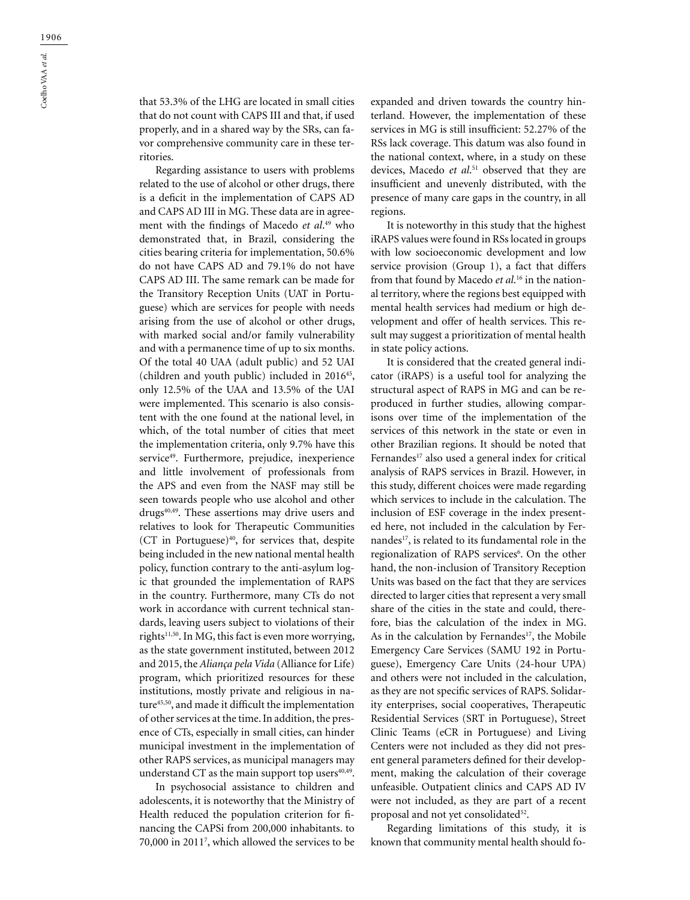that 53.3% of the LHG are located in small cities that do not count with CAPS III and that, if used properly, and in a shared way by the SRs, can favor comprehensive community care in these territories.

Regarding assistance to users with problems related to the use of alcohol or other drugs, there is a deficit in the implementation of CAPS AD and CAPS AD III in MG. These data are in agreement with the findings of Macedo *et al*. 49 who demonstrated that, in Brazil, considering the cities bearing criteria for implementation, 50.6% do not have CAPS AD and 79.1% do not have CAPS AD III. The same remark can be made for the Transitory Reception Units (UAT in Portuguese) which are services for people with needs arising from the use of alcohol or other drugs, with marked social and/or family vulnerability and with a permanence time of up to six months. Of the total 40 UAA (adult public) and 52 UAI (children and youth public) included in 201645, only 12.5% of the UAA and 13.5% of the UAI were implemented. This scenario is also consistent with the one found at the national level, in which, of the total number of cities that meet the implementation criteria, only 9.7% have this service<sup>49</sup>. Furthermore, prejudice, inexperience and little involvement of professionals from the APS and even from the NASF may still be seen towards people who use alcohol and other drugs<sup>40,49</sup>. These assertions may drive users and relatives to look for Therapeutic Communities (CT in Portuguese) $40$ , for services that, despite being included in the new national mental health policy, function contrary to the anti-asylum logic that grounded the implementation of RAPS in the country. Furthermore, many CTs do not work in accordance with current technical standards, leaving users subject to violations of their rights<sup>11,50</sup>. In MG, this fact is even more worrying, as the state government instituted, between 2012 and 2015, the *Aliança pela Vida* (Alliance for Life) program, which prioritized resources for these institutions, mostly private and religious in nature45,50, and made it difficult the implementation of other services at the time. In addition, the presence of CTs, especially in small cities, can hinder municipal investment in the implementation of other RAPS services, as municipal managers may understand CT as the main support top users $40,49$ .

In psychosocial assistance to children and adolescents, it is noteworthy that the Ministry of Health reduced the population criterion for financing the CAPSi from 200,000 inhabitants. to 70,000 in 20117 , which allowed the services to be expanded and driven towards the country hinterland. However, the implementation of these services in MG is still insufficient: 52.27% of the RSs lack coverage. This datum was also found in the national context, where, in a study on these devices, Macedo *et al*. 51 observed that they are insufficient and unevenly distributed, with the presence of many care gaps in the country, in all regions.

It is noteworthy in this study that the highest iRAPS values were found in RSs located in groups with low socioeconomic development and low service provision (Group 1), a fact that differs from that found by Macedo *et al*. 16 in the national territory, where the regions best equipped with mental health services had medium or high development and offer of health services. This result may suggest a prioritization of mental health in state policy actions.

It is considered that the created general indicator (iRAPS) is a useful tool for analyzing the structural aspect of RAPS in MG and can be reproduced in further studies, allowing comparisons over time of the implementation of the services of this network in the state or even in other Brazilian regions. It should be noted that Fernandes<sup>17</sup> also used a general index for critical analysis of RAPS services in Brazil. However, in this study, different choices were made regarding which services to include in the calculation. The inclusion of ESF coverage in the index presented here, not included in the calculation by Fernandes<sup>17</sup>, is related to its fundamental role in the regionalization of RAPS services<sup>6</sup>. On the other hand, the non-inclusion of Transitory Reception Units was based on the fact that they are services directed to larger cities that represent a very small share of the cities in the state and could, therefore, bias the calculation of the index in MG. As in the calculation by Fernandes<sup>17</sup>, the Mobile Emergency Care Services (SAMU 192 in Portuguese), Emergency Care Units (24-hour UPA) and others were not included in the calculation, as they are not specific services of RAPS. Solidarity enterprises, social cooperatives, Therapeutic Residential Services (SRT in Portuguese), Street Clinic Teams (eCR in Portuguese) and Living Centers were not included as they did not present general parameters defined for their development, making the calculation of their coverage unfeasible. Outpatient clinics and CAPS AD IV were not included, as they are part of a recent proposal and not yet consolidated<sup>52</sup>.

Regarding limitations of this study, it is known that community mental health should fo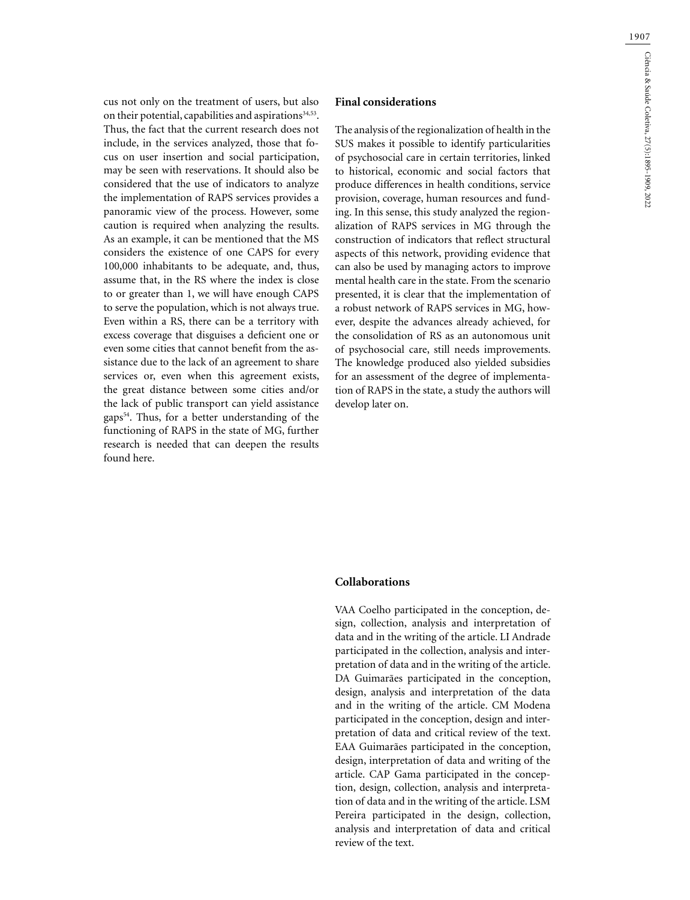cus not only on the treatment of users, but also on their potential, capabilities and aspirations<sup>34,53</sup>. Thus, the fact that the current research does not include, in the services analyzed, those that focus on user insertion and social participation, may be seen with reservations. It should also be considered that the use of indicators to analyze the implementation of RAPS services provides a panoramic view of the process. However, some caution is required when analyzing the results. As an example, it can be mentioned that the MS considers the existence of one CAPS for every 100,000 inhabitants to be adequate, and, thus, assume that, in the RS where the index is close to or greater than 1, we will have enough CAPS to serve the population, which is not always true. Even within a RS, there can be a territory with excess coverage that disguises a deficient one or even some cities that cannot benefit from the assistance due to the lack of an agreement to share services or, even when this agreement exists, the great distance between some cities and/or the lack of public transport can yield assistance gaps54. Thus, for a better understanding of the functioning of RAPS in the state of MG, further research is needed that can deepen the results found here.

#### **Final considerations**

The analysis of the regionalization of health in the SUS makes it possible to identify particularities of psychosocial care in certain territories, linked to historical, economic and social factors that produce differences in health conditions, service provision, coverage, human resources and funding. In this sense, this study analyzed the regionalization of RAPS services in MG through the construction of indicators that reflect structural aspects of this network, providing evidence that can also be used by managing actors to improve mental health care in the state. From the scenario presented, it is clear that the implementation of a robust network of RAPS services in MG, however, despite the advances already achieved, for the consolidation of RS as an autonomous unit of psychosocial care, still needs improvements. The knowledge produced also yielded subsidies for an assessment of the degree of implementation of RAPS in the state, a study the authors will develop later on.

### **Collaborations**

VAA Coelho participated in the conception, design, collection, analysis and interpretation of data and in the writing of the article. LI Andrade participated in the collection, analysis and interpretation of data and in the writing of the article. DA Guimarães participated in the conception, design, analysis and interpretation of the data and in the writing of the article. CM Modena participated in the conception, design and interpretation of data and critical review of the text. EAA Guimarães participated in the conception, design, interpretation of data and writing of the article. CAP Gama participated in the conception, design, collection, analysis and interpretation of data and in the writing of the article. LSM Pereira participated in the design, collection, analysis and interpretation of data and critical review of the text.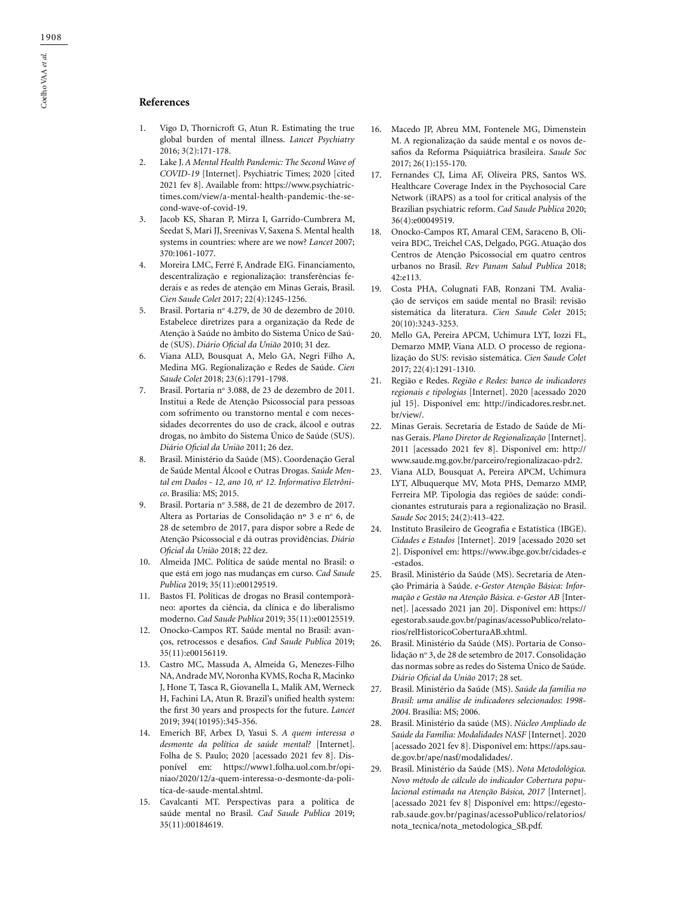## **References**

- 1. Vigo D, Thornicroft G, Atun R. Estimating the true global burden of mental illness. *Lancet Psychiatry* 2016; 3(2):171-178.
- 2. Lake J. *A Mental Health Pandemic: The Second Wave of COVID-19* [Internet]. Psychiatric Times; 2020 [cited 2021 fev 8]. Available from: https://www.psychiatrictimes.com/view/a-mental-health-pandemic-the-second-wave-of-covid-19.
- 3. Jacob KS, Sharan P, Mirza I, Garrido-Cumbrera M, Seedat S, Mari JJ, Sreenivas V, Saxena S. Mental health systems in countries: where are we now? *Lancet* 2007; 370:1061-1077.
- 4. Moreira LMC, Ferré F, Andrade EIG. Financiamento, descentralização e regionalização: transferências federais e as redes de atenção em Minas Gerais, Brasil. *Cien Saude Colet* 2017; 22(4):1245-1256.
- 5. Brasil. Portaria nº 4.279, de 30 de dezembro de 2010. Estabelece diretrizes para a organização da Rede de Atenção à Saúde no âmbito do Sistema Único de Saúde (SUS). *Diário Oficial da União* 2010; 31 dez.
- 6. Viana ALD, Bousquat A, Melo GA, Negri Filho A, Medina MG. Regionalização e Redes de Saúde. *Cien Saude Colet* 2018; 23(6):1791-1798.
- 7. Brasil. Portaria nº 3.088, de 23 de dezembro de 2011. Institui a Rede de Atenção Psicossocial para pessoas com sofrimento ou transtorno mental e com necessidades decorrentes do uso de crack, álcool e outras drogas, no âmbito do Sistema Único de Saúde (SUS). *Diário Oficial da União* 2011; 26 dez.
- 8. Brasil. Ministério da Saúde (MS). Coordenação Geral de Saúde Mental Álcool e Outras Drogas. *Saúde Mental em Dados - 12, ano 10, no 12. Informativo Eletrônico*. Brasília: MS; 2015.
- 9. Brasil. Portaria nº 3.588, de 21 de dezembro de 2017. Altera as Portarias de Consolidação nº 3 e nº 6, de 28 de setembro de 2017, para dispor sobre a Rede de Atenção Psicossocial e dá outras providências. *Diário Oficial da União* 2018; 22 dez.
- 10. Almeida JMC. Política de saúde mental no Brasil: o que está em jogo nas mudanças em curso. *Cad Saude Publica* 2019; 35(11):e00129519.
- 11. Bastos FI. Políticas de drogas no Brasil contemporâneo: aportes da ciência, da clínica e do liberalismo moderno. *Cad Saude Publica* 2019; 35(11):e00125519.
- 12. Onocko-Campos RT. Saúde mental no Brasil: avanços, retrocessos e desafios. *Cad Saude Publica* 2019; 35(11):e00156119.
- 13. Castro MC, Massuda A, Almeida G, Menezes-Filho NA, Andrade MV, Noronha KVMS, Rocha R, Macinko J, Hone T, Tasca R, Giovanella L, Malik AM, Werneck H, Fachini LA, Atun R. Brazil's unified health system: the first 30 years and prospects for the future. *Lancet* 2019; 394(10195):345-356.
- 14. Emerich BF, Arbex D, Yasui S. *A quem interessa o desmonte da política de saúde mental?* [Internet]. Folha de S. Paulo; 2020 [acessado 2021 fev 8]. Disponível em: https://www1.folha.uol.com.br/opiniao/2020/12/a-quem-interessa-o-desmonte-da-politica-de-saude-mental.shtml.
- 15. Cavalcanti MT. Perspectivas para a política de saúde mental no Brasil. *Cad Saude Publica* 2019; 35(11):00184619.
- 16. Macedo JP, Abreu MM, Fontenele MG, Dimenstein M. A regionalização da saúde mental e os novos desafios da Reforma Psiquiátrica brasileira. *Saude Soc* 2017; 26(1):155-170.
- 17. Fernandes CJ, Lima AF, Oliveira PRS, Santos WS. Healthcare Coverage Index in the Psychosocial Care Network (iRAPS) as a tool for critical analysis of the Brazilian psychiatric reform. *Cad Saude Publica* 2020; 36(4):e00049519.
- 18. Onocko-Campos RT, Amaral CEM, Saraceno B, Oliveira BDC, Treichel CAS, Delgado, PGG. Atuação dos Centros de Atenção Psicossocial em quatro centros urbanos no Brasil. *Rev Panam Salud Publica* 2018; 42:e113.
- 19. Costa PHA, Colugnati FAB, Ronzani TM. Avaliação de serviços em saúde mental no Brasil: revisão sistemática da literatura. *Cien Saude Colet* 2015; 20(10):3243-3253.
- 20. Mello GA, Pereira APCM, Uchimura LYT, Iozzi FL, Demarzo MMP, Viana ALD. O processo de regionalização do SUS: revisão sistemática. *Cien Saude Colet* 2017; 22(4):1291-1310.
- 21. Região e Redes. *Região e Redes: banco de indicadores regionais e tipologias* [Internet]. 2020 [acessado 2020 jul 15]. Disponível em: http://indicadores.resbr.net. br/view/.
- 22. Minas Gerais. Secretaria de Estado de Saúde de Minas Gerais. *Plano Diretor de Regionalização* [Internet]. 2011 [acessado 2021 fev 8]. Disponível em: http:// www.saude.mg.gov.br/parceiro/regionalizacao-pdr2.
- 23. Viana ALD, Bousquat A, Pereira APCM, Uchimura LYT, Albuquerque MV, Mota PHS, Demarzo MMP, Ferreira MP. Tipologia das regiões de saúde: condicionantes estruturais para a regionalização no Brasil. *Saude Soc* 2015; 24(2):413-422.
- 24. Instituto Brasileiro de Geografia e Estatística (IBGE). *Cidades e Estados* [Internet]. 2019 [acessado 2020 set 2]. Disponível em: https://www.ibge.gov.br/cidades-e -estados.
- 25. Brasil. Ministério da Saúde (MS). Secretaria de Atenção Primária à Saúde. *e-Gestor Atenção Básica: Informação e Gestão na Atenção Básica. e-Gestor AB* [Internet]. [acessado 2021 jan 20]. Disponível em: https:// egestorab.saude.gov.br/paginas/acessoPublico/relatorios/relHistoricoCoberturaAB.xhtml.
- 26. Brasil. Ministério da Saúde (MS). Portaria de Consolidação nº 3, de 28 de setembro de 2017. Consolidação das normas sobre as redes do Sistema Único de Saúde. *Diário Oficial da União* 2017; 28 set.
- 27. Brasil. Ministério da Saúde (MS). *Saúde da familia no Brasil: uma análise de indicadores selecionados: 1998- 2004*. Brasília: MS; 2006.
- 28. Brasil. Ministério da saúde (MS). *Núcleo Ampliado de Saúde da Família: Modalidades NASF* [Internet]. 2020 [acessado 2021 fev 8]. Disponível em: https://aps.saude.gov.br/ape/nasf/modalidades/.
- 29. Brasil. Ministério da Saúde (MS). *Nota Metodológica. Novo método de cálculo do indicador Cobertura populacional estimada na Atenção Básica, 2017* [Internet]. [acessado 2021 fev 8] Disponível em: https://egestorab.saude.gov.br/paginas/acessoPublico/relatorios/ nota\_tecnica/nota\_metodologica\_SB.pdf.